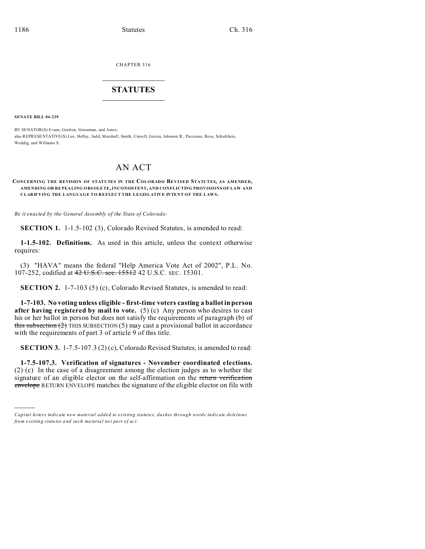CHAPTER 316  $\overline{\phantom{a}}$  , where  $\overline{\phantom{a}}$ 

#### **STATUTES**  $\_$   $\_$

**SENATE BILL 04-239**

)))))

BY SENATOR(S) Evans, Gord on, Grossman, and Jones; also REPRESENTATIVE(S) Lee, Hefley, Jud d, Marshall, Smith, Carro ll, Garcia, Johnson R., Pa ccione, Rose, Schultheis, Weddig, and Williams S.

# AN ACT

#### **CONCERNING THE REVISION OF STATUTES IN THE COLORADO REVISED STATUTES, AS AMENDED, AMENDING OR RE PEA LING OBS OLE TE, INCONSISTENT, AND CONFLICTING PROVISIONS OF LAW AND CLARIFYING THE LANGUAGE TO REFLECT THE LEGISLATIVE INTENT OF THE LAWS.**

*Be it enacted by the General Assembly of the State of Colorado:*

**SECTION 1.** 1-1.5-102 (3), Colorado Revised Statutes, is amended to read:

**1-1.5-102. Definitions.** As used in this article, unless the context otherwise requires:

(3) "HAVA" means the federal "Help America Vote Act of 2002", P.L. No. 107-252, codified at 42 U.S.C. sec. 15512 42 U.S.C. SEC. 15301.

**SECTION 2.** 1-7-103 (5) (c), Colorado Revised Statutes, is amended to read:

**1-7-103. No voting unless eligible - first-time voters casting a ballot in person after having registered by mail to vote.** (5) (c) Any person who desires to cast his or her ballot in person but does not satisfy the requirements of paragraph (b) of this subsection  $(2)$  THIS SUBSECTION  $(5)$  may cast a provisional ballot in accordance with the requirements of part 3 of article 9 of this title.

**SECTION 3.** 1-7.5-107.3 (2) (c), Colorado Revised Statutes, is amended to read:

**1-7.5-107.3. Verification of signatures - November coordinated elections.** (2) (c) In the case of a disagreement among the election judges as to whether the signature of an eligible elector on the self-affirmation on the return verification envelope RETURN ENVELOPE matches the signature of the eligible elector on file with

*Capital letters indicate new material added to existing statutes; dashes through words indicate deletions from e xistin g statu tes a nd such ma teria l no t pa rt of ac t.*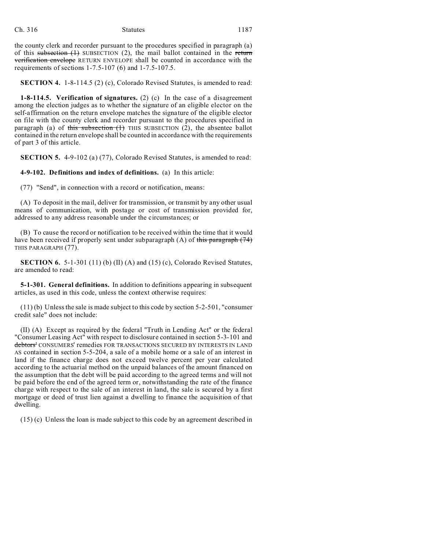the county clerk and recorder pursuant to the procedures specified in paragraph (a) of this subsection  $(1)$  SUBSECTION  $(2)$ , the mail ballot contained in the return verification envelope RETURN ENVELOPE shall be counted in accordance with the requirements of sections 1-7.5-107 (6) and 1-7.5-107.5.

**SECTION 4.** 1-8-114.5 (2) (c), Colorado Revised Statutes, is amended to read:

**1-8-114.5. Verification of signatures.** (2) (c) In the case of a disagreement among the election judges as to whether the signature of an eligible elector on the self-affirmation on the return envelope matches the signature of the eligible elector on file with the county clerk and recorder pursuant to the procedures specified in paragraph (a) of this subsection  $(1)$  THIS SUBSECTION (2), the absentee ballot contained in the return envelope shall be counted in accordance with the requirements of part 3 of this article.

**SECTION 5.** 4-9-102 (a) (77), Colorado Revised Statutes, is amended to read:

**4-9-102. Definitions and index of definitions.** (a) In this article:

(77) "Send", in connection with a record or notification, means:

(A) To deposit in the mail, deliver for transmission, or transmit by any other usual means of communication, with postage or cost of transmission provided for, addressed to any address reasonable under the circumstances; or

(B) To cause the record or notification to be received within the time that it would have been received if properly sent under subparagraph  $(A)$  of this paragraph  $(74)$ THIS PARAGRAPH (77).

**SECTION 6.** 5-1-301 (11) (b) (II) (A) and (15) (c), Colorado Revised Statutes, are amended to read:

**5-1-301. General definitions.** In addition to definitions appearing in subsequent articles, as used in this code, unless the context otherwise requires:

(11) (b) Unless the sale is made subject to this code by section 5-2-501, "consumer credit sale" does not include:

(II) (A) Except as required by the federal "Truth in Lending Act" or the federal "Consumer Leasing Act" with respect to disclosure contained in section 5-3-101 and debtors' CONSUMERS' remedies FOR TRANSACTIONS SECURED BY INTERESTS IN LAND AS contained in section 5-5-204, a sale of a mobile home or a sale of an interest in land if the finance charge does not exceed twelve percent per year calculated according to the actuarial method on the unpaid balances of the amount financed on the assumption that the debt will be paid according to the agreed terms and will not be paid before the end of the agreed term or, notwithstanding the rate of the finance charge with respect to the sale of an interest in land, the sale is secured by a first mortgage or deed of trust lien against a dwelling to finance the acquisition of that dwelling.

(15) (c) Unless the loan is made subject to this code by an agreement described in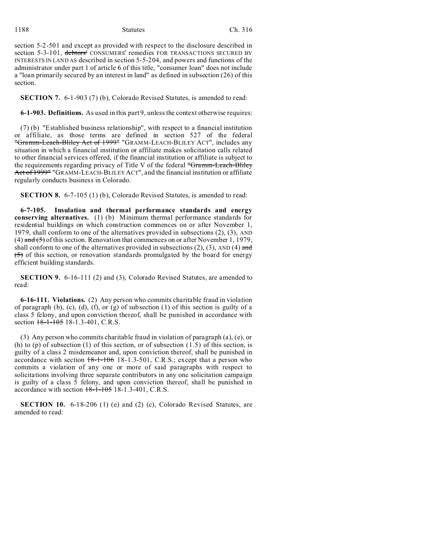1188 Ch. 316

section 5-2-501 and except as provided with respect to the disclosure described in section 5-3-101, debtors' CONSUMERS' remedies FOR TRANSACTIONS SECURED BY INTERESTS IN LAND AS described in section 5-5-204, and powers and functions of the administrator under part 1 of article 6 of this title, "consumer loan" does not include a "loan primarily secured by an interest in land" as defined in subsection (26) of this section.

**SECTION 7.** 6-1-903 (7) (b), Colorado Revised Statutes, is amended to read:

**6-1-903. Definitions.** As used in this part 9, unless the context otherwise requires:

(7) (b) "Established business relationship", with respect to a financial institution or affiliate, as those terms are defined in section 527 of the federal "Gramm-Leach-Bliley Act of 1999" "GRAMM-LEACH-BLILEY ACT", includes any situation in which a financial institution or affiliate makes solicitation calls related to other financial services offered, if the financial institution or affiliate is subject to the requirements regarding privacy of Title V of the federal "Gramm-Leach-Bliley Act of 1999<sup>"</sup> "GRAMM-LEACH-BLILEY ACT", and the financial institution or affiliate regularly conducts business in Colorado.

**SECTION 8.** 6-7-105 (1) (b), Colorado Revised Statutes, is amended to read:

**6-7-105. Insulation and thermal performance standards and energy conserving alternatives.** (1) (b) Minimum thermal performance standards for residential buildings on which construction commences on or after November 1, 1979, shall conform to one of the alternatives provided in subsections (2), (3), AND (4) and  $(5)$  of this section. Renovation that commences on or after November 1, 1979, shall conform to one of the alternatives provided in subsections  $(2)$ ,  $(3)$ , AND  $(4)$  and  $(5)$  of this section, or renovation standards promulgated by the board for energy efficient building standards.

**SECTION 9.** 6-16-111 (2) and (3), Colorado Revised Statutes, are amended to read:

**6-16-111. Violations.** (2) Any person who commits charitable fraud in violation of paragraph (b), (c), (d), (f), or (g) of subsection (1) of this section is guilty of a class 5 felony, and upon conviction thereof, shall be punished in accordance with section  $18-1-105$  18-1.3-401, C.R.S.

(3) Any person who commits charitable fraud in violation of paragraph (a), (e), or (h) to (p) of subsection (1) of this section, or of subsection  $(1.5)$  of this section, is guilty of a class 2 misdemeanor and, upon conviction thereof, shall be punished in accordance with section  $18-1-106$  18-1.3-501, C.R.S.; except that a person who commits a violation of any one or more of said paragraphs with respect to solicitations involving three separate contributors in any one solicitation campaign is guilty of a class 5 felony, and upon conviction thereof, shall be punished in accordance with section  $18-1-105$  18-1.3-401, C.R.S.

**SECTION 10.** 6-18-206 (1) (e) and (2) (c), Colorado Revised Statutes, are amended to read: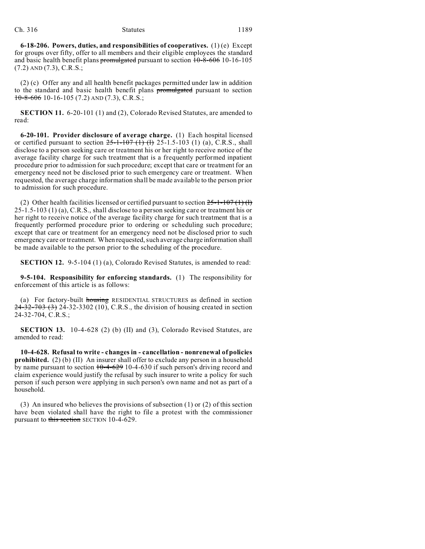**6-18-206. Powers, duties, and responsibilities of cooperatives.** (1) (e) Except for groups over fifty, offer to all members and their eligible employees the standard and basic health benefit plans promulgated pursuant to section  $10-8-606$  10-16-105 (7.2) AND (7.3), C.R.S.;

(2) (c) Offer any and all health benefit packages permitted under law in addition to the standard and basic health benefit plans promulgated pursuant to section  $10-8-606$  10-16-105 (7.2) AND (7.3), C.R.S.;

**SECTION 11.** 6-20-101 (1) and (2), Colorado Revised Statutes, are amended to read:

**6-20-101. Provider disclosure of average charge.** (1) Each hospital licensed or certified pursuant to section  $25-1-107$  (1) (1) 25-1.5-103 (1) (a), C.R.S., shall disclose to a person seeking care or treatment his or her right to receive notice of the average facility charge for such treatment that is a frequently performed inpatient procedure prior to admission for such procedure; except that care or treatment for an emergency need not be disclosed prior to such emergency care or treatment. When requested, the average charge information shall be made available to the person prior to admission for such procedure.

(2) Other health facilities licensed or certified pursuant to section  $25-1-107(1)(1)$ 25-1.5-103 (1) (a), C.R.S., shall disclose to a person seeking care or treatment his or her right to receive notice of the average facility charge for such treatment that is a frequently performed procedure prior to ordering or scheduling such procedure; except that care or treatment for an emergency need not be disclosed prior to such emergency care or treatment. When requested, such average charge information shall be made available to the person prior to the scheduling of the procedure.

**SECTION 12.** 9-5-104 (1) (a), Colorado Revised Statutes, is amended to read:

**9-5-104. Responsibility for enforcing standards.** (1) The responsibility for enforcement of this article is as follows:

(a) For factory-built housing RESIDENTIAL STRUCTURES as defined in section  $24-32-703$  (3) 24-32-3302 (10), C.R.S., the division of housing created in section 24-32-704, C.R.S.;

**SECTION 13.** 10-4-628 (2) (b) (II) and (3), Colorado Revised Statutes, are amended to read:

**10-4-628. Refusal to write - changes in - cancellation - nonrenewal of policies prohibited.** (2) (b) (II) An insurer shall offer to exclude any person in a household by name pursuant to section  $10-4-629$  10-4-630 if such person's driving record and claim experience would justify the refusal by such insurer to write a policy for such person if such person were applying in such person's own name and not as part of a household.

(3) An insured who believes the provisions of subsection (1) or (2) of this section have been violated shall have the right to file a protest with the commissioner pursuant to this section SECTION 10-4-629.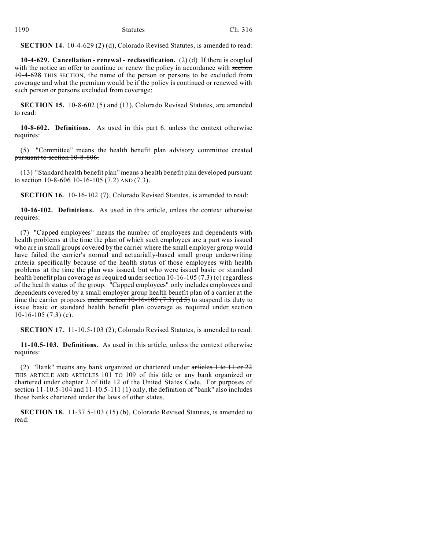**SECTION 14.** 10-4-629 (2) (d), Colorado Revised Statutes, is amended to read:

**10-4-629. Cancellation - renewal - reclassification.** (2) (d) If there is coupled with the notice an offer to continue or renew the policy in accordance with section 10-4-628 THIS SECTION, the name of the person or persons to be excluded from coverage and what the premium would be if the policy is continued or renewed with such person or persons excluded from coverage;

**SECTION 15.** 10-8-602 (5) and (13), Colorado Revised Statutes, are amended to read:

**10-8-602. Definitions.** As used in this part 6, unless the context otherwise requires:

(5) "Committee" means the health benefit plan advisory committee created pursuant to section 10-8-606.

(13) "Standard health benefit plan" means a health benefit plan developed pursuant to section  $10-8-606$  10-16-105 (7.2) AND (7.3).

**SECTION 16.** 10-16-102 (7), Colorado Revised Statutes, is amended to read:

**10-16-102. Definitions.** As used in this article, unless the context otherwise requires:

(7) "Capped employees" means the number of employees and dependents with health problems at the time the plan of which such employees are a part was issued who are in small groups covered by the carrier where the small employer group would have failed the carrier's normal and actuarially-based small group underwriting criteria specifically because of the health status of those employees with health problems at the time the plan was issued, but who were issued basic or standard health benefit plan coverage as required under section 10-16-105 (7.3) (c) regardless of the health status of the group. "Capped employees" only includes employees and dependents covered by a small employer group health benefit plan of a carrier at the time the carrier proposes under section  $10-16-105$  (7.3) (d.5) to suspend its duty to issue basic or standard health benefit plan coverage as required under section  $10-16-105(7.3)(c)$ .

**SECTION 17.** 11-10.5-103 (2), Colorado Revised Statutes, is amended to read:

**11-10.5-103. Definitions.** As used in this article, unless the context otherwise requires:

(2) "Bank" means any bank organized or chartered under  $\frac{\text{articles 1 to 11 or 22}}{\text{at least}}$ THIS ARTICLE AND ARTICLES 101 TO 109 of this title or any bank organized or chartered under chapter 2 of title 12 of the United States Code. For purposes of section 11-10.5-104 and 11-10.5-111 (1) only, the definition of "bank" also includes those banks chartered under the laws of other states.

**SECTION 18.** 11-37.5-103 (15) (b), Colorado Revised Statutes, is amended to read: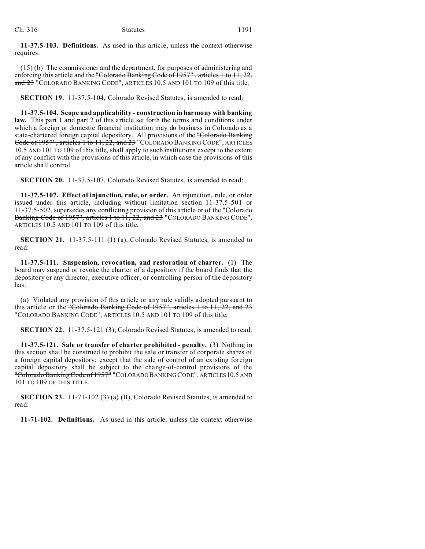**11-37.5-103. Definitions.** As used in this article, unless the context otherwise requires:

(15) (b) The commissioner and the department, for purposes of administering and enforcing this article and the "Colorado Banking Code of 1957", articles 1 to 11, 22, and 23 "COLORADO BANKING CODE", ARTICLES 10.5 AND 101 TO 109 of this title;

**SECTION 19.** 11-37.5-104, Colorado Revised Statutes, is amended to read:

**11-37.5-104. Scope and applicability - construction in harmony with banking law.** This part 1 and part 2 of this article set forth the terms and conditions under which a foreign or domestic financial institution may do business in Colorado as a state-chartered foreign capital depository. All provisions of the "Colorado Banking Code of 1957", articles 1 to 11, 22, and 23 "COLORADO BANKING CODE", ARTICLES 10.5 AND 101 TO 109 of this title, shall apply to such institutions except to the extent of any conflict with the provisions of this article, in which case the provisions of this article shall control.

**SECTION 20.** 11-37.5-107, Colorado Revised Statutes, is amended to read:

**11-37.5-107. Effect of injunction, rule, or order.** An injunction, rule, or order issued under this article, including without limitation section 11-37.5-501 or 11-37.5-502, supersedes any conflicting provision of this article or of the "Colorado" Banking Code of 1957", articles 1 to 11, 22, and 23 "COLORADO BANKING CODE", ARTICLES 10.5 AND 101 TO 109 of this title.

**SECTION 21.** 11-37.5-111 (1) (a), Colorado Revised Statutes, is amended to read:

**11-37.5-111. Suspension, revocation, and restoration of charter.** (1) The board may suspend or revoke the charter of a depository if the board finds that the depository or any director, executive officer, or controlling person of the depository has:

(a) Violated any provision of this article or any rule validly adopted pursuant to this article or the "Colorado Banking Code of 1957", articles 1 to 11, 22, and 23 "COLORADO BANKING CODE", ARTICLES 10.5 AND 101 TO 109 of this title;

**SECTION 22.** 11-37.5-121 (3), Colorado Revised Statutes, is amended to read:

**11-37.5-121. Sale or transfer of charter prohibited - penalty.** (3) Nothing in this section shall be construed to prohibit the sale or transfer of corporate shares of a foreign capital depository; except that the sale of control of an existing foreign capital depository shall be subject to the change-of-control provisions of the "Colorado Banking Code of 1957" "COLORADO BANKING CODE", ARTICLES 10.5 AND 101 TO 109 OF THIS TITLE.

**SECTION 23.** 11-71-102 (3) (a) (II), Colorado Revised Statutes, is amended to read:

**11-71-102. Definitions.** As used in this article, unless the context otherwise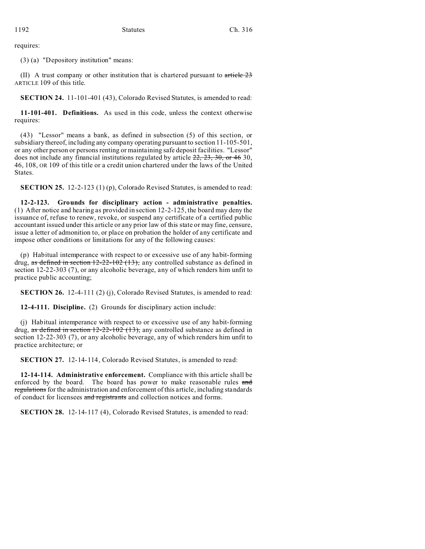requires:

(3) (a) "Depository institution" means:

(II) A trust company or other institution that is chartered pursuant to  $\frac{artele}{23}$ ARTICLE 109 of this title.

**SECTION 24.** 11-101-401 (43), Colorado Revised Statutes, is amended to read:

**11-101-401. Definitions.** As used in this code, unless the context otherwise requires:

(43) "Lessor" means a bank, as defined in subsection (5) of this section, or subsidiary thereof, including any company operating pursuant to section 11-105-501, or any other person or persons renting or maintaining safe deposit facilities. "Lessor" does not include any financial institutions regulated by article 22, 23, 30, or 46 30, 46, 108, OR 109 of this title or a credit union chartered under the laws of the United States.

**SECTION 25.** 12-2-123 (1) (p), Colorado Revised Statutes, is amended to read:

**12-2-123. Grounds for disciplinary action - administrative penalties.** (1) After notice and hearing as provided in section 12-2-125, the board may deny the issuance of, refuse to renew, revoke, or suspend any certificate of a certified public accountant issued under this article or any prior law of this state or may fine, censure, issue a letter of admonition to, or place on probation the holder of any certificate and impose other conditions or limitations for any of the following causes:

(p) Habitual intemperance with respect to or excessive use of any habit-forming drug, as defined in section  $12-22-102$  (13), any controlled substance as defined in section 12-22-303 (7), or any alcoholic beverage, any of which renders him unfit to practice public accounting;

**SECTION 26.** 12-4-111 (2) (j), Colorado Revised Statutes, is amended to read:

**12-4-111. Discipline.** (2) Grounds for disciplinary action include:

(j) Habitual intemperance with respect to or excessive use of any habit-forming drug, as defined in section  $12-22-102$  (13), any controlled substance as defined in section 12-22-303 (7), or any alcoholic beverage, any of which renders him unfit to practice architecture; or

**SECTION 27.** 12-14-114, Colorado Revised Statutes, is amended to read:

**12-14-114. Administrative enforcement.** Compliance with this article shall be enforced by the board. The board has power to make reasonable rules and regulations for the administration and enforcement of this article, including standards of conduct for licensees and registrants and collection notices and forms.

**SECTION 28.** 12-14-117 (4), Colorado Revised Statutes, is amended to read: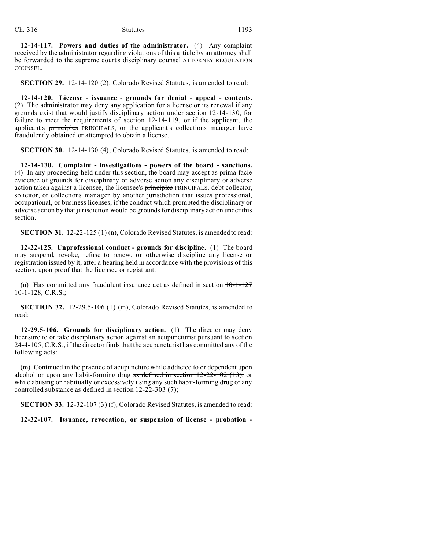**12-14-117. Powers and duties of the administrator.** (4) Any complaint received by the administrator regarding violations of this article by an attorney shall be forwarded to the supreme court's disciplinary counsel ATTORNEY REGULATION COUNSEL.

**SECTION 29.** 12-14-120 (2), Colorado Revised Statutes, is amended to read:

**12-14-120. License - issuance - grounds for denial - appeal - contents.** (2) The administrator may deny any application for a license or its renewal if any grounds exist that would justify disciplinary action under section 12-14-130, for failure to meet the requirements of section 12-14-119, or if the applicant, the applicant's **principles** PRINCIPALS, or the applicant's collections manager have fraudulently obtained or attempted to obtain a license.

**SECTION 30.** 12-14-130 (4), Colorado Revised Statutes, is amended to read:

**12-14-130. Complaint - investigations - powers of the board - sanctions.** (4) In any proceeding held under this section, the board may accept as prima facie evidence of grounds for disciplinary or adverse action any disciplinary or adverse action taken against a licensee, the licensee's principles PRINCIPALS, debt collector, solicitor, or collections manager by another jurisdiction that issues professional, occupational, or business licenses, if the conduct which prompted the disciplinary or adverse action by that jurisdiction would be grounds for disciplinary action under this section.

**SECTION 31.** 12-22-125 (1) (n), Colorado Revised Statutes, is amended to read:

**12-22-125. Unprofessional conduct - grounds for discipline.** (1) The board may suspend, revoke, refuse to renew, or otherwise discipline any license or registration issued by it, after a hearing held in accordance with the provisions of this section, upon proof that the licensee or registrant:

(n) Has committed any fraudulent insurance act as defined in section  $10-1-127$ 10-1-128, C.R.S.;

**SECTION 32.** 12-29.5-106 (1) (m), Colorado Revised Statutes, is amended to read:

**12-29.5-106. Grounds for disciplinary action.** (1) The director may deny licensure to or take disciplinary action against an acupuncturist pursuant to section 24-4-105, C.R.S., if the director finds that the acupuncturist has committed any of the following acts:

(m) Continued in the practice of acupuncture while addicted to or dependent upon alcohol or upon any habit-forming drug as defined in section  $12-22-102$  ( $13$ ), or while abusing or habitually or excessively using any such habit-forming drug or any controlled substance as defined in section 12-22-303 (7);

**SECTION 33.** 12-32-107 (3) (f), Colorado Revised Statutes, is amended to read:

**12-32-107. Issuance, revocation, or suspension of license - probation -**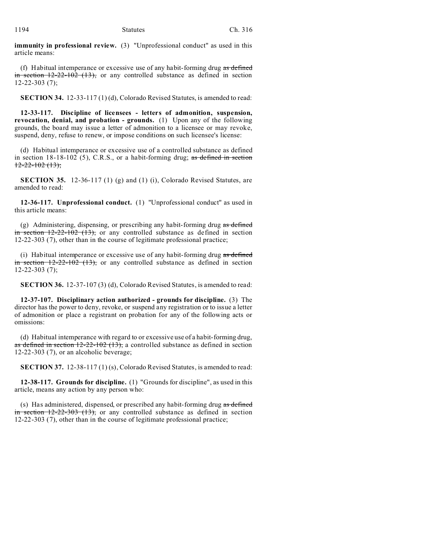**immunity in professional review.** (3) "Unprofessional conduct" as used in this article means:

(f) Habitual intemperance or excessive use of any habit-forming drug as defined  $\frac{\partial^2 f}{\partial x^2}$  in section 12-22-102 (13), or any controlled substance as defined in section 12-22-303 (7);

**SECTION 34.** 12-33-117 (1) (d), Colorado Revised Statutes, is amended to read:

**12-33-117. Discipline of licensees - letters of admonition, suspension, revocation, denial, and probation - grounds.** (1) Upon any of the following grounds, the board may issue a letter of admonition to a licensee or may revoke, suspend, deny, refuse to renew, or impose conditions on such licensee's license:

(d) Habitual intemperance or excessive use of a controlled substance as defined in section  $18-18-102$  (5), C.R.S., or a habit-forming drug; as defined in section  $12 - 22 - 102$  (13);

**SECTION 35.** 12-36-117 (1) (g) and (1) (i), Colorado Revised Statutes, are amended to read:

**12-36-117. Unprofessional conduct.** (1) "Unprofessional conduct" as used in this article means:

(g) Administering, dispensing, or prescribing any habit-forming drug as defined  $\frac{\partial u}{\partial t}$  section 12-22-102 (13), or any controlled substance as defined in section 12-22-303 (7), other than in the course of legitimate professional practice;

(i) Habitual intemperance or excessive use of any habit-forming drug as defined in section  $12-22-102$  (13), or any controlled substance as defined in section 12-22-303 (7);

**SECTION 36.** 12-37-107 (3) (d), Colorado Revised Statutes, is amended to read:

**12-37-107. Disciplinary action authorized - grounds for discipline.** (3) The director has the power to deny, revoke, or suspend any registration or to issue a letter of admonition or place a registrant on probation for any of the following acts or omissions:

(d) Habitual intemperance with regard to or excessive use of a habit-forming drug, as defined in section  $12-22-102$  (13), a controlled substance as defined in section 12-22-303 (7), or an alcoholic beverage;

**SECTION 37.** 12-38-117 (1) (s), Colorado Revised Statutes, is amended to read:

**12-38-117. Grounds for discipline.** (1) "Grounds for discipline", as used in this article, means any action by any person who:

(s) Has administered, dispensed, or prescribed any habit-forming drug as defined in section  $12-22-303$   $(13)$ , or any controlled substance as defined in section 12-22-303 (7), other than in the course of legitimate professional practice;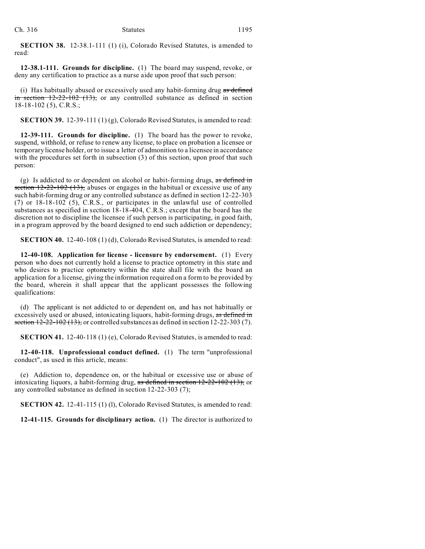**SECTION 38.** 12-38.1-111 (1) (i), Colorado Revised Statutes, is amended to read:

**12-38.1-111. Grounds for discipline.** (1) The board may suspend, revoke, or deny any certification to practice as a nurse aide upon proof that such person:

(i) Has habitually abused or excessively used any habit-forming drug as defined  $\frac{\text{in section } 12-22-102}{\text{in section } 12-22-102}$  (13), or any controlled substance as defined in section 18-18-102 (5), C.R.S.;

**SECTION 39.** 12-39-111 (1) (g), Colorado Revised Statutes, is amended to read:

**12-39-111. Grounds for discipline.** (1) The board has the power to revoke, suspend, withhold, or refuse to renew any license, to place on probation a licensee or temporary license holder, or to issue a letter of admonition to a licensee in accordance with the procedures set forth in subsection (3) of this section, upon proof that such person:

(g) Is addicted to or dependent on alcohol or habit-forming drugs, as defined in section  $12-22-102$  (13), abuses or engages in the habitual or excessive use of any such habit-forming drug or any controlled substance as defined in section 12-22-303 (7) or 18-18-102 (5), C.R.S., or participates in the unlawful use of controlled substances as specified in section 18-18-404, C.R.S.; except that the board has the discretion not to discipline the licensee if such person is participating, in good faith, in a program approved by the board designed to end such addiction or dependency;

**SECTION 40.** 12-40-108 (1) (d), Colorado Revised Statutes, is amended to read:

**12-40-108. Application for license - licensure by endorsement.** (1) Every person who does not currently hold a license to practice optometry in this state and who desires to practice optometry within the state shall file with the board an application for a license, giving the information required on a form to be provided by the board, wherein it shall appear that the applicant possesses the following qualifications:

(d) The applicant is not addicted to or dependent on, and has not habitually or excessively used or abused, intoxicating liquors, habit-forming drugs, as defined in section  $12-22-102$  (13), or controlled substances as defined in section 12-22-303 (7).

**SECTION 41.** 12-40-118 (1) (e), Colorado Revised Statutes, is amended to read:

**12-40-118. Unprofessional conduct defined.** (1) The term "unprofessional conduct", as used in this article, means:

(e) Addiction to, dependence on, or the habitual or excessive use or abuse of intoxicating liquors, a habit-forming drug, as defined in section  $12-22-102$  (13), or any controlled substance as defined in section 12-22-303 (7);

**SECTION 42.** 12-41-115 (1) (1), Colorado Revised Statutes, is amended to read:

**12-41-115. Grounds for disciplinary action.** (1) The director is authorized to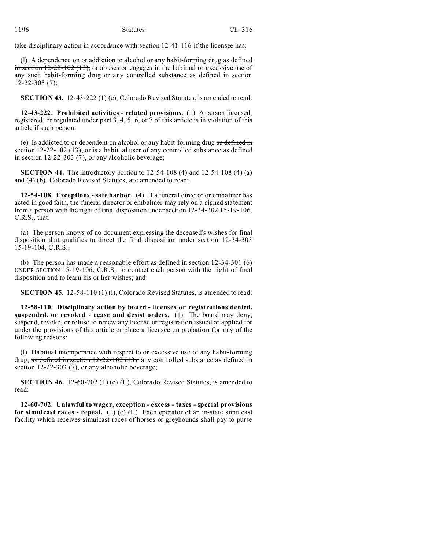take disciplinary action in accordance with section 12-41-116 if the licensee has:

(1) A dependence on or addiction to alcohol or any habit-forming drug as defined in section  $12-22-102$  (13), or abuses or engages in the habitual or excessive use of any such habit-forming drug or any controlled substance as defined in section 12-22-303 (7);

**SECTION 43.** 12-43-222 (1) (e), Colorado Revised Statutes, is amended to read:

**12-43-222. Prohibited activities - related provisions.** (1) A person licensed, registered, or regulated under part 3, 4, 5, 6, or 7 of this article is in violation of this article if such person:

(e) Is addicted to or dependent on alcohol or any habit-forming drug  $\alpha s$  defined in section  $12-22-102$  (13), or is a habitual user of any controlled substance as defined in section 12-22-303 (7), or any alcoholic beverage;

**SECTION 44.** The introductory portion to 12-54-108 (4) and 12-54-108 (4) (a) and (4) (b), Colorado Revised Statutes, are amended to read:

**12-54-108. Exceptions - safe harbor.** (4) If a funeral director or embalmer has acted in good faith, the funeral director or embalmer may rely on a signed statement from a person with the right of final disposition under section  $12-34-302$  15-19-106, C.R.S., that:

(a) The person knows of no document expressing the deceased's wishes for final disposition that qualifies to direct the final disposition under section 12-34-303 15-19-104, C.R.S.;

(b) The person has made a reasonable effort  $\frac{12-34-301}{6}$ UNDER SECTION 15-19-106, C.R.S., to contact each person with the right of final disposition and to learn his or her wishes; and

**SECTION 45.** 12-58-110 (1) (1), Colorado Revised Statutes, is amended to read:

**12-58-110. Disciplinary action by board - licenses or registrations denied, suspended, or revoked - cease and desist orders.** (1) The board may deny, suspend, revoke, or refuse to renew any license or registration issued or applied for under the provisions of this article or place a licensee on probation for any of the following reasons:

(l) Habitual intemperance with respect to or excessive use of any habit-forming drug, as defined in section  $12-22-102$  (13), any controlled substance as defined in section 12-22-303 (7), or any alcoholic beverage;

**SECTION 46.** 12-60-702 (1) (e) (II), Colorado Revised Statutes, is amended to read:

**12-60-702. Unlawful to wager, exception - excess - taxes - special provisions for simulcast races - repeal.** (1) (e) (II) Each operator of an in-state simulcast facility which receives simulcast races of horses or greyhounds shall pay to purse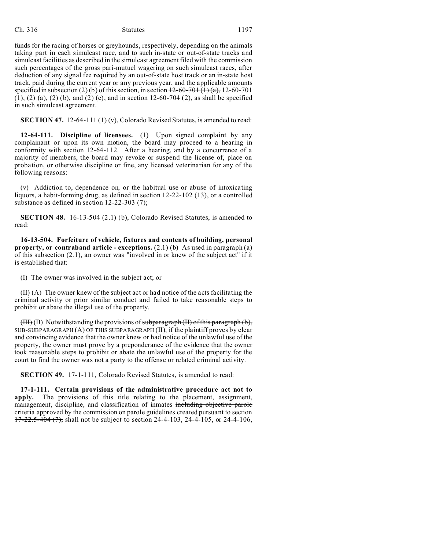## Ch. 316 Statutes 1197

funds for the racing of horses or greyhounds, respectively, depending on the animals taking part in each simulcast race, and to such in-state or out-of-state tracks and simulcast facilities as described in the simulcast agreement filed with the commission such percentages of the gross pari-mutuel wagering on such simulcast races, after deduction of any signal fee required by an out-of-state host track or an in-state host track, paid during the current year or any previous year, and the applicable amounts specified in subsection (2) (b) of this section, in section  $\frac{12-60-701}{(1)(a)}$ , 12-60-701  $(1)$ ,  $(2)$   $(a)$ ,  $(2)$   $(b)$ , and  $(2)$   $(c)$ , and in section 12-60-704  $(2)$ , as shall be specified in such simulcast agreement.

**SECTION 47.** 12-64-111 (1) (v), Colorado Revised Statutes, is amended to read:

**12-64-111. Discipline of licensees.** (1) Upon signed complaint by any complainant or upon its own motion, the board may proceed to a hearing in conformity with section 12-64-112. After a hearing, and by a concurrence of a majority of members, the board may revoke or suspend the license of, place on probation, or otherwise discipline or fine, any licensed veterinarian for any of the following reasons:

(v) Addiction to, dependence on, or the habitual use or abuse of intoxicating liquors, a habit-forming drug, as defined in section  $12{\text -}22{\text -}102$  (13), or a controlled substance as defined in section 12-22-303 (7);

**SECTION 48.** 16-13-504 (2.1) (b), Colorado Revised Statutes, is amended to read:

**16-13-504. Forfeiture of vehicle, fixtures and contents of building, personal property, or contraband article - exceptions.** (2.1) (b) As used in paragraph (a) of this subsection (2.1), an owner was "involved in or knew of the subject act" if it is established that:

(I) The owner was involved in the subject act; or

(II) (A) The owner knew of the subject act or had notice of the acts facilitating the criminal activity or prior similar conduct and failed to take reasonable steps to prohibit or abate the illegal use of the property.

 $(HH)(B)$  Notwithstanding the provisions of subparagraph  $(H)$  of this paragraph  $(b)$ ,  $SUB-SUBPARAGRAPH (A)$  OF THIS SUBPARAGRAPH  $(II)$ , if the plaintiff proves by clear and convincing evidence that the owner knew or had notice of the unlawful use of the property, the owner must prove by a preponderance of the evidence that the owner took reasonable steps to prohibit or abate the unlawful use of the property for the court to find the owner was not a party to the offense or related criminal activity.

**SECTION 49.** 17-1-111, Colorado Revised Statutes, is amended to read:

**17-1-111. Certain provisions of the administrative procedure act not to apply.** The provisions of this title relating to the placement, assignment, management, discipline, and classification of inmates including objective parole criteria approved by the commission on parole guidelines created pursuant to section 17-22.5-404 (7), shall not be subject to section 24-4-103, 24-4-105, or 24-4-106,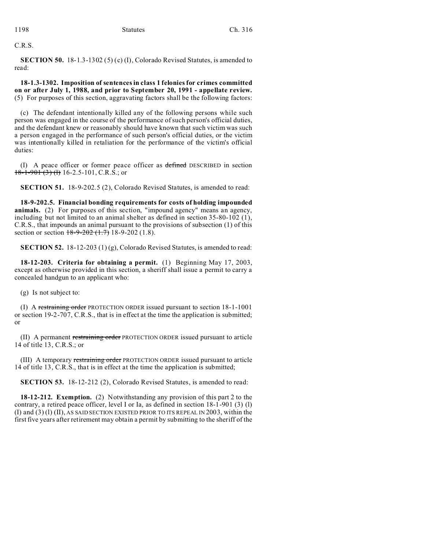C.R.S.

**SECTION 50.** 18-1.3-1302 (5) (c) (I), Colorado Revised Statutes, is amended to read:

**18-1.3-1302. Imposition of sentences in class 1 felonies for crimes committed on or after July 1, 1988, and prior to September 20, 1991 - appellate review.** (5) For purposes of this section, aggravating factors shall be the following factors:

(c) The defendant intentionally killed any of the following persons while such person was engaged in the course of the performance of such person's official duties, and the defendant knew or reasonably should have known that such victim was such a person engaged in the performance of such person's official duties, or the victim was intentionally killed in retaliation for the performance of the victim's official duties:

(I) A peace officer or former peace officer as defined DESCRIBED in section  $18-1-901$  (3) (1) 16-2.5-101, C.R.S.; or

**SECTION 51.** 18-9-202.5 (2), Colorado Revised Statutes, is amended to read:

**18-9-202.5. Financial bonding requirements for costs of holding impounded animals.** (2) For purposes of this section, "impound agency" means an agency, including but not limited to an animal shelter as defined in section 35-80-102 (1), C.R.S., that impounds an animal pursuant to the provisions of subsection (1) of this section or section  $18-9-202$   $(1.7)$  18-9-202  $(1.8)$ .

**SECTION 52.** 18-12-203 (1) (g), Colorado Revised Statutes, is amended to read:

**18-12-203. Criteria for obtaining a permit.** (1) Beginning May 17, 2003, except as otherwise provided in this section, a sheriff shall issue a permit to carry a concealed handgun to an applicant who:

(g) Is not subject to:

(I) A restraining order PROTECTION ORDER issued pursuant to section 18-1-1001 or section 19-2-707, C.R.S., that is in effect at the time the application is submitted; or

(II) A permanent restraining order PROTECTION ORDER issued pursuant to article 14 of title 13, C.R.S.; or

(III) A temporary restraining order PROTECTION ORDER issued pursuant to article 14 of title 13, C.R.S., that is in effect at the time the application is submitted;

**SECTION 53.** 18-12-212 (2), Colorado Revised Statutes, is amended to read:

**18-12-212. Exemption.** (2) Notwithstanding any provision of this part 2 to the contrary, a retired peace officer, level I or Ia, as defined in section 18-1-901 (3) (l) (I) and (3) (l) (II), AS SAID SECTION EXISTED PRIOR TO ITS REPEAL IN 2003, within the first five years after retirement may obtain a permit by submitting to the sheriff of the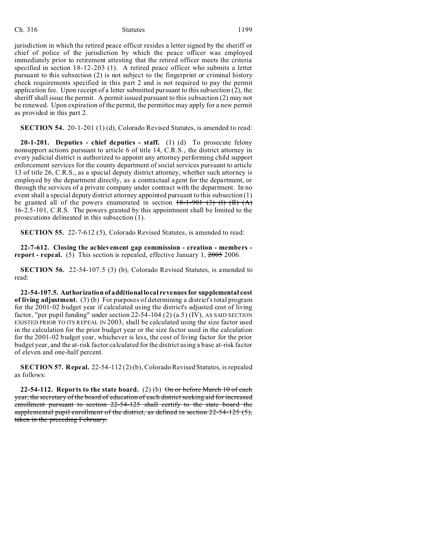## Ch. 316 Statutes 1199

jurisdiction in which the retired peace officer resides a letter signed by the sheriff or chief of police of the jurisdiction by which the peace officer was employed immediately prior to retirement attesting that the retired officer meets the criteria specified in section 18-12-203 (1). A retired peace officer who submits a letter pursuant to this subsection (2) is not subject to the fingerprint or criminal history check requirements specified in this part 2 and is not required to pay the permit application fee. Upon receipt of a letter submitted pursuant to this subsection (2), the sheriff shall issue the permit. A permit issued pursuant to this subsection (2) may not be renewed. Upon expiration of the permit, the permittee may apply for a new permit as provided in this part 2.

**SECTION 54.** 20-1-201 (1) (d), Colorado Revised Statutes, is amended to read:

**20-1-201. Deputies - chief deputies - staff.** (1) (d) To prosecute felony nonsupport actions pursuant to article 6 of title 14, C.R.S., the district attorney in every judicial district is authorized to appoint any attorney performing child support enforcement services for the county department of social services pursuant to article 13 of title 26, C.R.S., as a special deputy district attorney, whether such attorney is employed by the department directly, as a contractual agent for the department, or through the services of a private company under contract with the department. In no event shall a special deputy district attorney appointed pursuant to this subsection (1) be granted all of the powers enumerated in section  $18-1-901$  (3) (1) (H) (A) 16-2.5-101, C.R.S. The powers granted by this appointment shall be limited to the prosecutions delineated in this subsection (1).

**SECTION 55.** 22-7-612 (5), Colorado Revised Statutes, is amended to read:

**22-7-612. Closing the achievement gap commission - creation - members report - repeal.** (5) This section is repealed, effective January 1, 2005 2006.

**SECTION 56.** 22-54-107.5 (3) (b), Colorado Revised Statutes, is amended to read:

**22-54-107.5. Authorization of additional local revenues for supplemental cost of living adjustment.** (3) (b) For purposes of determining a district's total program for the 2001-02 budget year if calculated using the district's adjusted cost of living factor, "per pupil funding" under section 22-54-104 (2) (a.5) (IV), AS SAID SECTION EXISTED PRIOR TO ITS REPEAL IN 2003, shall be calculated using the size factor used in the calculation for the prior budget year or the size factor used in the calculation for the 2001-02 budget year, whichever is less, the cost of living factor for the prior budget year, and the at-risk factor calculated for the district using a base at-risk factor of eleven and one-half percent.

**SECTION 57. Repeal.** 22-54-112 (2) (b), Colorado Revised Statutes, is repealed as follows:

**22-54-112. Reports to the state board.** (2) (b) On or before March 10 of each year, the secretary of the board of education of each district seeking aid for increased enrollment pursuant to section 22-54-125 shall certify to the state board the supplemental pupil enrollment of the district, as defined in section 22-54-125 (5), taken in the preceding February.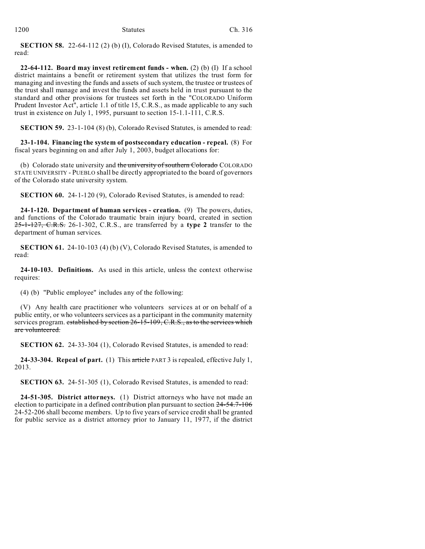**SECTION 58.** 22-64-112 (2) (b) (I), Colorado Revised Statutes, is amended to read:

**22-64-112. Board may invest retirement funds - when.** (2) (b) (I) If a school district maintains a benefit or retirement system that utilizes the trust form for managing and investing the funds and assets of such system, the trustee or trustees of the trust shall manage and invest the funds and assets held in trust pursuant to the standard and other provisions for trustees set forth in the "COLORADO Uniform Prudent Investor Act", article 1.1 of title 15, C.R.S., as made applicable to any such trust in existence on July 1, 1995, pursuant to section 15-1.1-111, C.R.S.

**SECTION 59.** 23-1-104 (8) (b), Colorado Revised Statutes, is amended to read:

**23-1-104. Financing the system of postsecondary education - repeal.** (8) For fiscal years beginning on and after July 1, 2003, budget allocations for:

(b) Colorado state university and the university of southern Colorado COLORADO STATE UNIVERSITY - PUEBLO shall be directly appropriated to the board of governors of the Colorado state university system.

**SECTION 60.** 24-1-120 (9), Colorado Revised Statutes, is amended to read:

**24-1-120. Department of human services - creation.** (9) The powers, duties, and functions of the Colorado traumatic brain injury board, created in section 25-1-127, C.R.S. 26-1-302, C.R.S., are transferred by a **type 2** transfer to the department of human services.

**SECTION 61.** 24-10-103 (4) (b) (V), Colorado Revised Statutes, is amended to read:

**24-10-103. Definitions.** As used in this article, unless the context otherwise requires:

(4) (b) "Public employee" includes any of the following:

(V) Any health care practitioner who volunteers services at or on behalf of a public entity, or who volunteers services as a participant in the community maternity services program. established by section 26-15-109, C.R.S., as to the services which are volunteered.

**SECTION 62.** 24-33-304 (1), Colorado Revised Statutes, is amended to read:

**24-33-304. Repeal of part.** (1) This article PART 3 is repealed, effective July 1, 2013.

**SECTION 63.** 24-51-305 (1), Colorado Revised Statutes, is amended to read:

**24-51-305. District attorneys.** (1) District attorneys who have not made an election to participate in a defined contribution plan pursuant to section 24-54.7-106 24-52-206 shall become members. Up to five years of service credit shall be granted for public service as a district attorney prior to January 11, 1977, if the district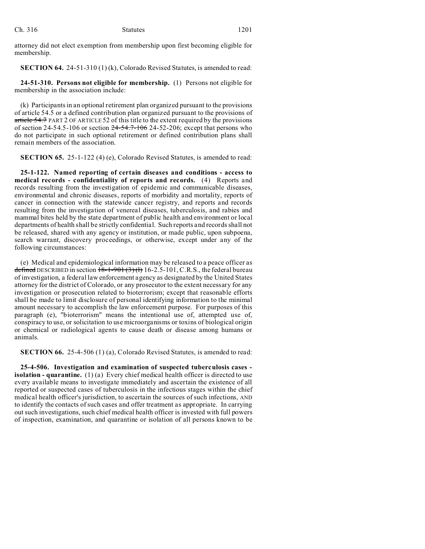attorney did not elect exemption from membership upon first becoming eligible for membership.

**SECTION 64.** 24-51-310 (1) (k), Colorado Revised Statutes, is amended to read:

**24-51-310. Persons not eligible for membership.** (1) Persons not eligible for membership in the association include:

(k) Participants in an optional retirement plan organized pursuant to the provisions of article 54.5 or a defined contribution plan organized pursuant to the provisions of article 54.7 PART 2 OF ARTICLE 52 of this title to the extent required by the provisions of section 24-54.5-106 or section 24-54.7-106 24-52-206; except that persons who do not participate in such optional retirement or defined contribution plans shall remain members of the association.

**SECTION 65.** 25-1-122 (4) (e), Colorado Revised Statutes, is amended to read:

**25-1-122. Named reporting of certain diseases and conditions - access to medical records - confidentiality of reports and records.** (4) Reports and records resulting from the investigation of epidemic and communicable diseases, environmental and chronic diseases, reports of morbidity and mortality, reports of cancer in connection with the statewide cancer registry, and reports and records resulting from the investigation of venereal diseases, tuberculosis, and rabies and mammal bites held by the state department of public health and environment or local departments of health shall be strictly confidential. Such reports and records shall not be released, shared with any agency or institution, or made public, upon subpoena, search warrant, discovery proceedings, or otherwise, except under any of the following circumstances:

(e) Medical and epidemiological information may be released to a peace officer as defined DESCRIBED in section  $18-1-901(3)(1)$  16-2.5-101, C.R.S., the federal bureau of investigation, a federal law enforcement agency as designated by the United States attorney for the district of Colorado, or any prosecutor to the extent necessary for any investigation or prosecution related to bioterrorism; except that reasonable efforts shall be made to limit disclosure of personal identifying information to the minimal amount necessary to accomplish the law enforcement purpose. For purposes of this paragraph (e), "bioterrorism" means the intentional use of, attempted use of, conspiracy to use, or solicitation to use microorganisms or toxins of biological origin or chemical or radiological agents to cause death or disease among humans or animals.

**SECTION 66.** 25-4-506 (1) (a), Colorado Revised Statutes, is amended to read:

**25-4-506. Investigation and examination of suspected tuberculosis cases isolation - quarantine.** (1) (a) Every chief medical health officer is directed to use every available means to investigate immediately and ascertain the existence of all reported or suspected cases of tuberculosis in the infectious stages within the chief medical health officer's jurisdiction, to ascertain the sources of such infections, AND to identify the contacts of such cases and offer treatment as appropriate. In carrying out such investigations, such chief medical health officer is invested with full powers of inspection, examination, and quarantine or isolation of all persons known to be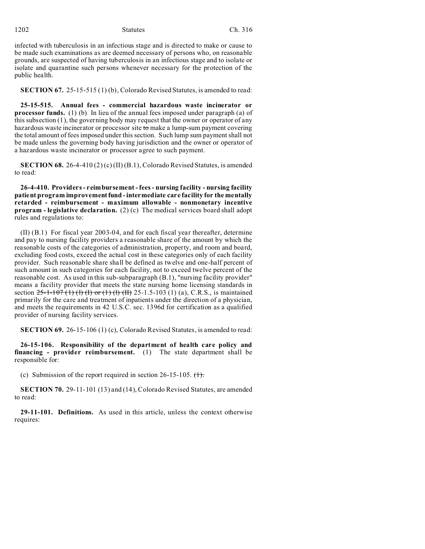#### 1202 Statutes Ch. 316

infected with tuberculosis in an infectious stage and is directed to make or cause to be made such examinations as are deemed necessary of persons who, on reasonable grounds, are suspected of having tuberculosis in an infectious stage and to isolate or isolate and quarantine such persons whenever necessary for the protection of the public health.

**SECTION 67.** 25-15-515 (1) (b), Colorado Revised Statutes, is amended to read:

**25-15-515. Annual fees - commercial hazardous waste incinerator or processor funds.** (1) (b) In lieu of the annual fees imposed under paragraph (a) of this subsection (1), the governing body may request that the owner or operator of any hazardous waste incinerator or processor site to make a lump-sum payment covering the total amount of fees imposed under this section. Such lump sum payment shall not be made unless the governing body having jurisdiction and the owner or operator of a hazardous waste incinerator or processor agree to such payment.

**SECTION 68.** 26-4-410 (2) (c) (II) (B.1), Colorado Revised Statutes, is amended to read:

**26-4-410. Providers - reimbursement - fees - nursing facility - nursing facility patient program improvementfund - intermediate care facility for the mentally retarded - reimbursement - maximum allowable - nonmonetary incentive program - legislative declaration.** (2) (c) The medical services board shall adopt rules and regulations to:

(II) (B.1) For fiscal year 2003-04, and for each fiscal year thereafter, determine and pay to nursing facility providers a reasonable share of the amount by which the reasonable costs of the categories of administration, property, and room and board, excluding food costs, exceed the actual cost in these categories only of each facility provider. Such reasonable share shall be defined as twelve and one-half percent of such amount in such categories for each facility, not to exceed twelve percent of the reasonable cost. As used in this sub-subparagraph (B.1), "nursing facility provider" means a facility provider that meets the state nursing home licensing standards in section  $25-1-107$  (1) (1) or (1) (1) (H) 25-1.5-103 (1) (a), C.R.S., is maintained primarily for the care and treatment of inpatients under the direction of a physician, and meets the requirements in 42 U.S.C. sec. 1396d for certification as a qualified provider of nursing facility services.

**SECTION 69.** 26-15-106 (1) (c), Colorado Revised Statutes, is amended to read:

**26-15-106. Responsibility of the department of health care policy and financing - provider reimbursement.** (1) The state department shall be responsible for:

(c) Submission of the report required in section 26-15-105.  $\left(\frac{1}{1}\right)$ .

**SECTION 70.** 29-11-101 (13) and (14), Colorado Revised Statutes, are amended to read:

**29-11-101. Definitions.** As used in this article, unless the context otherwise requires: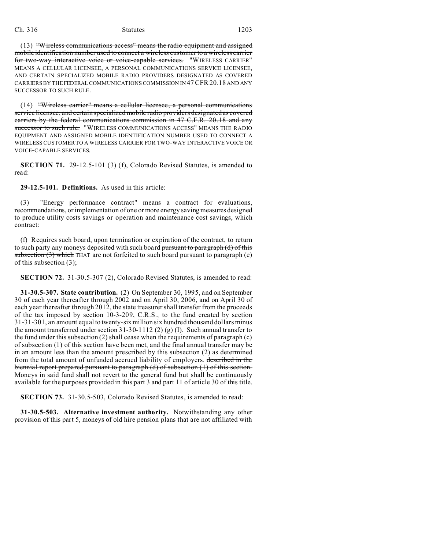### Ch. 316 Statutes 1203

(13) "Wireless communications access" means the radio equipment and assigned mobile identification number used to connect a wireless customer to a wireless carrier for two-way interactive voice or voice-capable services. "WIRELESS CARRIER" MEANS A CELLULAR LICENSEE, A PERSONAL COMMUNICATIONS SERVICE LICENSEE, AND CERTAIN SPECIALIZED MOBILE RADIO PROVIDERS DESIGNATED AS COVERED CARRIERS BY THEFEDERAL COMMUNICATIONS COMMISSION IN 47CFR20.18 AND ANY SUCCESSOR TO SUCH RULE.

(14) "Wireless carrier" means a cellular licensee, a personal communications service licensee, and certain specialized mobile radio providers designated as covered carriers by the federal communications commission in 47 C.F.R. 20.18 and any successor to such rule. "WIRELESS COMMUNICATIONS ACCESS" MEANS THE RADIO EQUIPMENT AND ASSIGNED MOBILE IDENTIFICATION NUMBER USED TO CONNECT A WIRELESS CUSTOMER TO A WIRELESS CARRIER FOR TWO-WAY INTERACTIVE VOICE OR VOICE-CAPABLE SERVICES.

**SECTION 71.** 29-12.5-101 (3) (f), Colorado Revised Statutes, is amended to read:

**29-12.5-101. Definitions.** As used in this article:

(3) "Energy performance contract" means a contract for evaluations, recommendations, or implementation of one or more energy saving measures designed to produce utility costs savings or operation and maintenance cost savings, which contract:

(f) Requires such board, upon termination or expiration of the contract, to return to such party any moneys deposited with such board pursuant to paragraph (d) of this subsection  $(3)$  which THAT are not forfeited to such board pursuant to paragraph  $(e)$ of this subsection (3);

**SECTION 72.** 31-30.5-307 (2), Colorado Revised Statutes, is amended to read:

**31-30.5-307. State contribution.** (2) On September 30, 1995, and on September 30 of each year thereafter through 2002 and on April 30, 2006, and on April 30 of each year thereafter through 2012, the state treasurer shall transfer from the proceeds of the tax imposed by section 10-3-209, C.R.S., to the fund created by section 31-31-301, an amount equal to twenty-six million six hundred thousand dollars minus the amount transferred under section 31-30-1112 (2) (g) (I). Such annual transfer to the fund under this subsection (2) shall cease when the requirements of paragraph (c) of subsection (1) of this section have been met, and the final annual transfer may be in an amount less than the amount prescribed by this subsection (2) as determined from the total amount of unfunded accrued liability of employers. described in the biennial report prepared pursuant to paragraph (d) of subsection (1) of this section. Moneys in said fund shall not revert to the general fund but shall be continuously available for the purposes provided in this part 3 and part 11 of article 30 of this title.

**SECTION 73.** 31-30.5-503, Colorado Revised Statutes, is amended to read:

**31-30.5-503. Alternative investment authority.** Notwithstanding any other provision of this part 5, moneys of old hire pension plans that are not affiliated with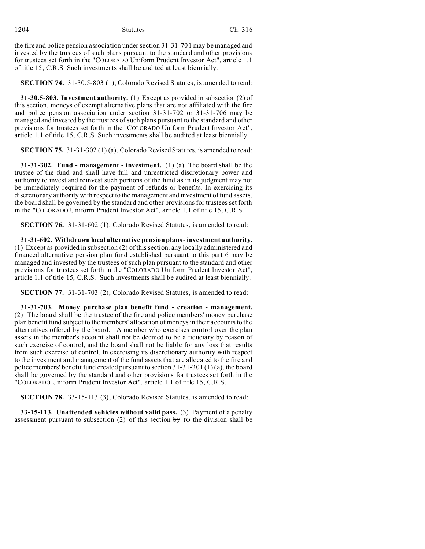| 1204 | <b>Statutes</b> | Ch. 316 |
|------|-----------------|---------|
|------|-----------------|---------|

the fire and police pension association under section 31-31-701 may be managed and invested by the trustees of such plans pursuant to the standard and other provisions for trustees set forth in the "COLORADO Uniform Prudent Investor Act", article 1.1 of title 15, C.R.S. Such investments shall be audited at least biennially.

**SECTION 74.** 31-30.5-803 (1), Colorado Revised Statutes, is amended to read:

**31-30.5-803. Investment authority.** (1) Except as provided in subsection (2) of this section, moneys of exempt alternative plans that are not affiliated with the fire and police pension association under section 31-31-702 or 31-31-706 may be managed and invested by the trustees of such plans pursuant to the standard and other provisions for trustees set forth in the "COLORADO Uniform Prudent Investor Act", article 1.1 of title 15, C.R.S. Such investments shall be audited at least biennially.

**SECTION 75.** 31-31-302 (1) (a), Colorado Revised Statutes, is amended to read:

**31-31-302. Fund - management - investment.** (1) (a) The board shall be the trustee of the fund and shall have full and unrestricted discretionary power and authority to invest and reinvest such portions of the fund as in its judgment may not be immediately required for the payment of refunds or benefits. In exercising its discretionary authority with respect to the management and investment of fund assets, the board shall be governed by the standard and other provisions for trustees set forth in the "COLORADO Uniform Prudent Investor Act", article 1.1 of title 15, C.R.S.

**SECTION 76.** 31-31-602 (1), Colorado Revised Statutes, is amended to read:

**31-31-602. Withdrawn local alternative pension plans - investment authority.** (1) Except as provided in subsection (2) of this section, any locally administered and financed alternative pension plan fund established pursuant to this part 6 may be managed and invested by the trustees of such plan pursuant to the standard and other provisions for trustees set forth in the "COLORADO Uniform Prudent Investor Act", article 1.1 of title 15, C.R.S. Such investments shall be audited at least biennially.

**SECTION 77.** 31-31-703 (2), Colorado Revised Statutes, is amended to read:

**31-31-703. Money purchase plan benefit fund - creation - management.** (2) The board shall be the trustee of the fire and police members' money purchase plan benefit fund subject to the members' allocation of moneys in their accounts to the alternatives offered by the board. A member who exercises control over the plan assets in the member's account shall not be deemed to be a fiduciary by reason of such exercise of control, and the board shall not be liable for any loss that results from such exercise of control. In exercising its discretionary authority with respect to the investment and management of the fund assets that are allocated to the fire and police members' benefit fund created pursuant to section 31-31-301 (1) (a), the board shall be governed by the standard and other provisions for trustees set forth in the "COLORADO Uniform Prudent Investor Act", article 1.1 of title 15, C.R.S.

**SECTION 78.** 33-15-113 (3), Colorado Revised Statutes, is amended to read:

**33-15-113. Unattended vehicles without valid pass.** (3) Payment of a penalty assessment pursuant to subsection  $(2)$  of this section  $\frac{1}{2}$  TO the division shall be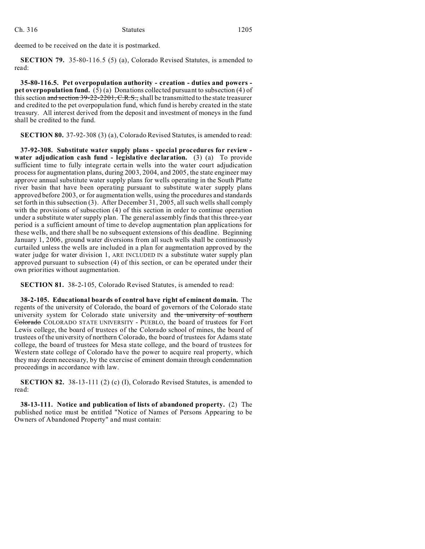deemed to be received on the date it is postmarked.

**SECTION 79.** 35-80-116.5 (5) (a), Colorado Revised Statutes, is amended to read:

**35-80-116.5. Pet overpopulation authority - creation - duties and powers pet overpopulation fund.** (5) (a) Donations collected pursuant to subsection (4) of this section  $\frac{1}{2}$  and section 39-22-2201, C.R.S., shall be transmitted to the state treasurer and credited to the pet overpopulation fund, which fund is hereby created in the state treasury. All interest derived from the deposit and investment of moneys in the fund shall be credited to the fund.

**SECTION 80.** 37-92-308 (3) (a), Colorado Revised Statutes, is amended to read:

**37-92-308. Substitute water supply plans - special procedures for review water adjudication cash fund - legislative declaration.** (3) (a) To provide sufficient time to fully integrate certain wells into the water court adjudication process for augmentation plans, during 2003, 2004, and 2005, the state engineer may approve annual substitute water supply plans for wells operating in the South Platte river basin that have been operating pursuant to substitute water supply plans approved before 2003, or for augmentation wells, using the procedures and standards set forth in this subsection (3). After December 31, 2005, all such wells shall comply with the provisions of subsection (4) of this section in order to continue operation under a substitute water supply plan. The general assembly finds that this three-year period is a sufficient amount of time to develop augmentation plan applications for these wells, and there shall be no subsequent extensions of this deadline. Beginning January 1, 2006, ground water diversions from all such wells shall be continuously curtailed unless the wells are included in a plan for augmentation approved by the water judge for water division 1, ARE INCLUDED IN a substitute water supply plan approved pursuant to subsection (4) of this section, or can be operated under their own priorities without augmentation.

**SECTION 81.** 38-2-105, Colorado Revised Statutes, is amended to read:

**38-2-105. Educational boards of control have right of eminent domain.** The regents of the university of Colorado, the board of governors of the Colorado state university system for Colorado state university and the university of southern Colorado COLORADO STATE UNIVERSITY - PUEBLO, the board of trustees for Fort Lewis college, the board of trustees of the Colorado school of mines, the board of trustees of the university of northern Colorado, the board of trustees for Adams state college, the board of trustees for Mesa state college, and the board of trustees for Western state college of Colorado have the power to acquire real property, which they may deem necessary, by the exercise of eminent domain through condemnation proceedings in accordance with law.

**SECTION 82.** 38-13-111 (2) (c) (I), Colorado Revised Statutes, is amended to read:

**38-13-111. Notice and publication of lists of abandoned property.** (2) The published notice must be entitled "Notice of Names of Persons Appearing to be Owners of Abandoned Property" and must contain: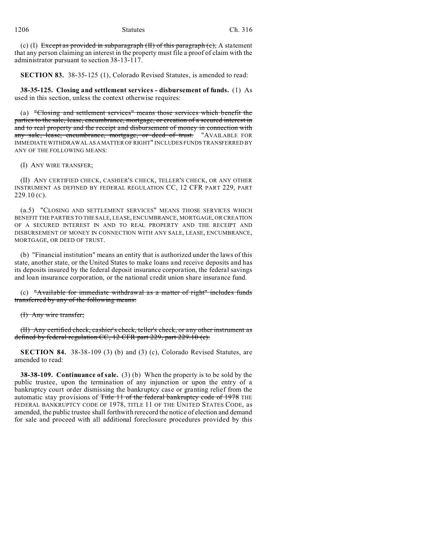(c) (I) Except as provided in subparagraph  $(H)$  of this paragraph  $(e)$ , A statement that any person claiming an interest in the property must file a proof of claim with the administrator pursuant to section 38-13-117.

**SECTION 83.** 38-35-125 (1), Colorado Revised Statutes, is amended to read:

**38-35-125. Closing and settlement services - disbursement of funds.** (1) As used in this section, unless the context otherwise requires:

(a) "Closing and settlement services" means those services which benefit the parties to the sale, lease, encumbrance, mortgage, or creation of a secured interest in and to real property and the receipt and disbursement of money in connection with any sale, lease, encumbrance, mortgage, or deed of trust. "AVAILABLE FOR IMMEDIATE WITHDRAWAL ASAMATTER OF RIGHT" INCLUDES FUNDS TRANSFERRED BY ANY OF THE FOLLOWING MEANS:

(I) ANY WIRE TRANSFER;

(II) ANY CERTIFIED CHECK, CASHIER'S CHECK, TELLER'S CHECK, OR ANY OTHER INSTRUMENT AS DEFINED BY FEDERAL REGULATION CC, 12 CFR PART 229, PART  $229.10$  (c).

(a.5) "CLOSING AND SETTLEMENT SERVICES" MEANS THOSE SERVICES WHICH BENEFIT THE PARTIES TO THE SALE, LEASE, ENCUMBRANCE, MORTGAGE, OR CREATION OF A SECURED INTEREST IN AND TO REAL PROPERTY AND THE RECEIPT AND DISBURSEMENT OF MONEY IN CONNECTION WITH ANY SALE, LEASE, ENCUMBRANCE, MORTGAGE, OR DEED OF TRUST.

(b) "Financial institution" means an entity that is authorized under the laws of this state, another state, or the United States to make loans and receive deposits and has its deposits insured by the federal deposit insurance corporation, the federal savings and loan insurance corporation, or the national credit union share insurance fund.

(c) "Available for immediate withdrawal as a matter of right" includes funds transferred by any of the following means:

#### (I) Any wire transfer;

(II) Any certified check, cashier's check, teller's check, or any other instrument as defined by federal regulation CC, 12 CFR part 229, part 229.10 (c).

**SECTION 84.** 38-38-109 (3) (b) and (3) (c), Colorado Revised Statutes, are amended to read:

**38-38-109. Continuance of sale.** (3) (b) When the property is to be sold by the public trustee, upon the termination of any injunction or upon the entry of a bankruptcy court order dismissing the bankruptcy case or granting relief from the automatic stay provisions of Title 11 of the federal bankruptcy code of 1978 THE FEDERAL BANKRUPTCY CODE OF 1978, TITLE 11 OF THE UNITED STATES CODE, as amended, the public trustee shall forthwith rerecord the notice of election and demand for sale and proceed with all additional foreclosure procedures provided by this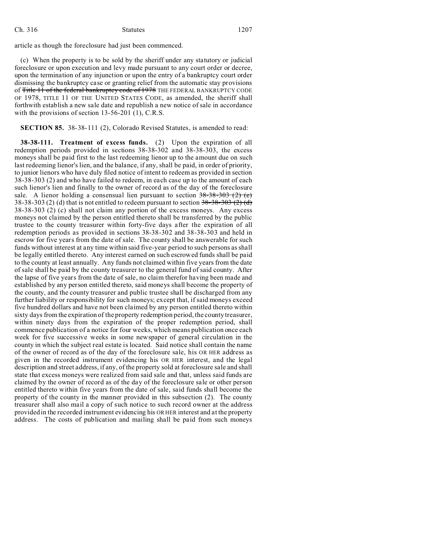article as though the foreclosure had just been commenced.

(c) When the property is to be sold by the sheriff under any statutory or judicial foreclosure or upon execution and levy made pursuant to any court order or decree, upon the termination of any injunction or upon the entry of a bankruptcy court order dismissing the bankruptcy case or granting relief from the automatic stay provisions of Title 11 of the federal bankruptcy code of 1978 THE FEDERAL BANKRUPTCY CODE OF 1978, TITLE 11 OF THE UNITED STATES CODE, as amended, the sheriff shall forthwith establish a new sale date and republish a new notice of sale in accordance with the provisions of section 13-56-201 (1), C.R.S.

**SECTION 85.** 38-38-111 (2), Colorado Revised Statutes, is amended to read:

**38-38-111. Treatment of excess funds.** (2) Upon the expiration of all redemption periods provided in sections 38-38-302 and 38-38-303, the excess moneys shall be paid first to the last redeeming lienor up to the amount due on such last redeeming lienor's lien, and the balance, if any, shall be paid, in order of priority, to junior lienors who have duly filed notice of intent to redeem as provided in section 38-38-303 (2) and who have failed to redeem, in each case up to the amount of each such lienor's lien and finally to the owner of record as of the day of the foreclosure sale. A lienor holding a consensual lien pursuant to section  $38-38-303$  (2) (e) 38-38-303 (2) (d) that is not entitled to redeem pursuant to section  $38-38-303$  (2) (d) 38-38-303 (2) (c) shall not claim any portion of the excess moneys. Any excess moneys not claimed by the person entitled thereto shall be transferred by the public trustee to the county treasurer within forty-five days after the expiration of all redemption periods as provided in sections 38-38-302 and 38-38-303 and held in escrow for five years from the date of sale. The county shall be answerable for such funds without interest at any time within said five-year period to such persons as shall be legally entitled thereto. Any interest earned on such escrowed funds shall be paid to the county at least annually. Any funds not claimed within five years from the date of sale shall be paid by the county treasurer to the general fund of said county. After the lapse of five years from the date of sale, no claim therefor having been made and established by any person entitled thereto, said moneys shall become the property of the county, and the county treasurer and public trustee shall be discharged from any further liability or responsibility for such moneys; except that, if said moneys exceed five hundred dollars and have not been claimed by any person entitled thereto within sixty days from the expiration of the property redemption period, the county treasurer, within ninety days from the expiration of the proper redemption period, shall commence publication of a notice for four weeks, which means publication once each week for five successive weeks in some newspaper of general circulation in the county in which the subject real estate is located. Said notice shall contain the name of the owner of record as of the day of the foreclosure sale, his OR HER address as given in the recorded instrument evidencing his OR HER interest, and the legal description and street address, if any, of the property sold at foreclosure sale and shall state that excess moneys were realized from said sale and that, unless said funds are claimed by the owner of record as of the day of the foreclosure sale or other person entitled thereto within five years from the date of sale, said funds shall become the property of the county in the manner provided in this subsection (2). The county treasurer shall also mail a copy of such notice to such record owner at the address provided in the recorded instrument evidencing his OR HER interest and at the property address. The costs of publication and mailing shall be paid from such moneys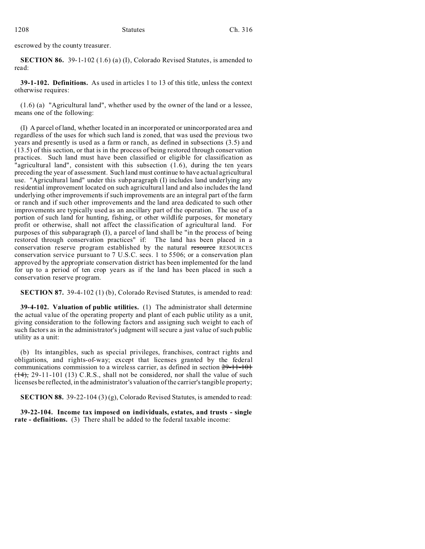escrowed by the county treasurer.

**SECTION 86.** 39-1-102 (1.6) (a) (I), Colorado Revised Statutes, is amended to read:

**39-1-102. Definitions.** As used in articles 1 to 13 of this title, unless the context otherwise requires:

(1.6) (a) "Agricultural land", whether used by the owner of the land or a lessee, means one of the following:

(I) A parcel of land, whether located in an incorporated or unincorporated area and regardless of the uses for which such land is zoned, that was used the previous two years and presently is used as a farm or ranch, as defined in subsections (3.5) and (13.5) of this section, or that is in the process of being restored through conservation practices. Such land must have been classified or eligible for classification as "agricultural land", consistent with this subsection  $(1.6)$ , during the ten years preceding the year of assessment. Such land must continue to have actual agricultural use. "Agricultural land" under this subparagraph (I) includes land underlying any residential improvement located on such agricultural land and also includes the land underlying other improvements if such improvements are an integral part of the farm or ranch and if such other improvements and the land area dedicated to such other improvements are typically used as an ancillary part of the operation. The use of a portion of such land for hunting, fishing, or other wildlife purposes, for monetary profit or otherwise, shall not affect the classification of agricultural land. For purposes of this subparagraph (I), a parcel of land shall be "in the process of being restored through conservation practices" if: The land has been placed in a conservation reserve program established by the natural resource RESOURCES conservation service pursuant to 7 U.S.C. secs. 1 to 5506; or a conservation plan approved by the appropriate conservation district has been implemented for the land for up to a period of ten crop years as if the land has been placed in such a conservation reserve program.

**SECTION 87.** 39-4-102 (1) (b), Colorado Revised Statutes, is amended to read:

**39-4-102. Valuation of public utilities.** (1) The administrator shall determine the actual value of the operating property and plant of each public utility as a unit, giving consideration to the following factors and assigning such weight to each of such factors as in the administrator's judgment will secure a just value of such public utility as a unit:

(b) Its intangibles, such as special privileges, franchises, contract rights and obligations, and rights-of-way; except that licenses granted by the federal communications commission to a wireless carrier, as defined in section 29-11-101  $(14)$ , 29-11-101 (13) C.R.S., shall not be considered, nor shall the value of such licenses be reflected, in the administrator's valuation of the carrier's tangible property;

**SECTION 88.** 39-22-104 (3) (g), Colorado Revised Statutes, is amended to read:

**39-22-104. Income tax imposed on individuals, estates, and trusts - single rate - definitions.** (3) There shall be added to the federal taxable income: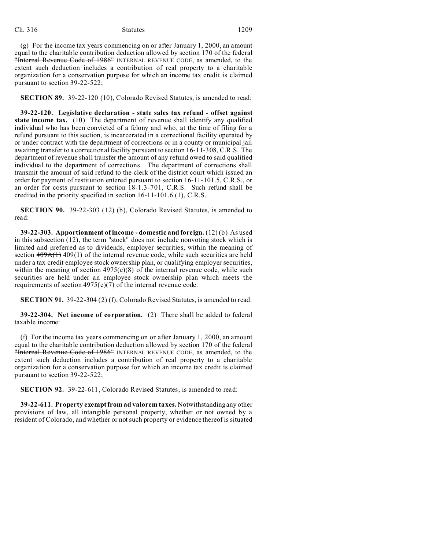#### Ch. 316 Statutes 1209

(g) For the income tax years commencing on or after January 1, 2000, an amount equal to the charitable contribution deduction allowed by section 170 of the federal "Internal Revenue Code of 1986" INTERNAL REVENUE CODE, as amended, to the extent such deduction includes a contribution of real property to a charitable organization for a conservation purpose for which an income tax credit is claimed pursuant to section 39-22-522;

**SECTION 89.** 39-22-120 (10), Colorado Revised Statutes, is amended to read:

**39-22-120. Legislative declaration - state sales tax refund - offset against state income tax.** (10) The department of revenue shall identify any qualified individual who has been convicted of a felony and who, at the time of filing for a refund pursuant to this section, is incarcerated in a correctional facility operated by or under contract with the department of corrections or in a county or municipal jail awaiting transfer to a correctional facility pursuant to section 16-11-308, C.R.S. The department of revenue shall transfer the amount of any refund owed to said qualified individual to the department of corrections. The department of corrections shall transmit the amount of said refund to the clerk of the district court which issued an order for payment of restitution entered pursuant to section 16-11-101.5, C.R.S., or an order for costs pursuant to section 18-1.3-701, C.R.S. Such refund shall be credited in the priority specified in section 16-11-101.6 (1), C.R.S.

**SECTION 90.** 39-22-303 (12) (b), Colorado Revised Statutes, is amended to read:

**39-22-303. Apportionment of income - domestic and foreign.** (12) (b) As used in this subsection (12), the term "stock" does not include nonvoting stock which is limited and preferred as to dividends, employer securities, within the meaning of section  $409\text{\AA}(1)$  409(1) of the internal revenue code, while such securities are held under a tax credit employee stock ownership plan, or qualifying employer securities, within the meaning of section 4975(e)(8) of the internal revenue code, while such securities are held under an employee stock ownership plan which meets the requirements of section 4975(e)(7) of the internal revenue code.

**SECTION 91.** 39-22-304 (2) (f), Colorado Revised Statutes, is amended to read:

**39-22-304. Net income of corporation.** (2) There shall be added to federal taxable income:

(f) For the income tax years commencing on or after January 1, 2000, an amount equal to the charitable contribution deduction allowed by section 170 of the federal "Internal Revenue Code of 1986" INTERNAL REVENUE CODE, as amended, to the extent such deduction includes a contribution of real property to a charitable organization for a conservation purpose for which an income tax credit is claimed pursuant to section 39-22-522;

**SECTION 92.** 39-22-611, Colorado Revised Statutes, is amended to read:

**39-22-611. Property exempt from ad valorem taxes.** Notwithstanding any other provisions of law, all intangible personal property, whether or not owned by a resident of Colorado, and whether or not such property or evidence thereof is situated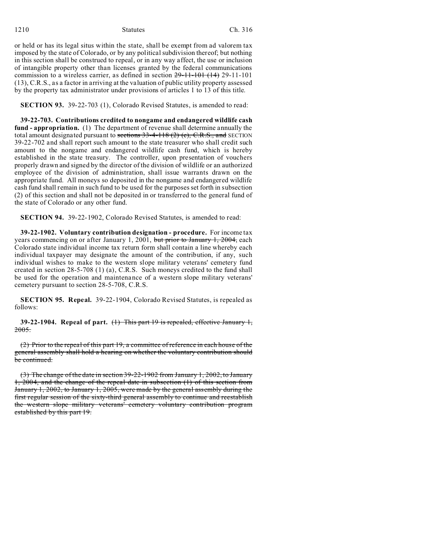1210 Statutes Ch. 316

or held or has its legal situs within the state, shall be exempt from ad valorem tax imposed by the state of Colorado, or by any political subdivision thereof; but nothing in this section shall be construed to repeal, or in any way affect, the use or inclusion of intangible property other than licenses granted by the federal communications commission to a wireless carrier, as defined in section  $29-11-101$  (14) 29-11-101 (13), C.R.S., as a factor in arriving at the valuation of public utility property assessed by the property tax administrator under provisions of articles 1 to 13 of this title.

**SECTION 93.** 39-22-703 (1), Colorado Revised Statutes, is amended to read:

**39-22-703. Contributions credited to nongame and endangered wildlife cash fund - appropriation.** (1) The department of revenue shall determine annually the total amount designated pursuant to sections  $33-4-118$  (2) (c), C.R.S., and SECTION 39-22-702 and shall report such amount to the state treasurer who shall credit such amount to the nongame and endangered wildlife cash fund, which is hereby established in the state treasury. The controller, upon presentation of vouchers properly drawn and signed by the director of the division of wildlife or an authorized employee of the division of administration, shall issue warrants drawn on the appropriate fund. All moneys so deposited in the nongame and endangered wildlife cash fund shall remain in such fund to be used for the purposes set forth in subsection (2) of this section and shall not be deposited in or transferred to the general fund of the state of Colorado or any other fund.

**SECTION 94.** 39-22-1902, Colorado Revised Statutes, is amended to read:

**39-22-1902. Voluntary contribution designation - procedure.** For income tax years commencing on or after January 1, 2001, but prior to January 1, 2004, each Colorado state individual income tax return form shall contain a line whereby each individual taxpayer may designate the amount of the contribution, if any, such individual wishes to make to the western slope military veterans' cemetery fund created in section 28-5-708 (1) (a), C.R.S. Such moneys credited to the fund shall be used for the operation and maintenance of a western slope military veterans' cemetery pursuant to section 28-5-708, C.R.S.

**SECTION 95. Repeal.** 39-22-1904, Colorado Revised Statutes, is repealed as follows:

**39-22-1904. Repeal of part.** (1) This part 19 is repealed, effective January 1, 2005.

(2) Prior to the repeal of this part 19, a committee of reference in each house of the general assembly shall hold a hearing on whether the voluntary contribution should be continued.

(3) The change of the date in section 39-22-1902 from January 1, 2002, to January 1, 2004, and the change of the repeal date in subsection (1) of this section from January 1, 2002, to January 1, 2005, were made by the general assembly during the first regular session of the sixty-third general assembly to continue and reestablish the western slope military veterans' cemetery voluntary contribution program established by this part 19.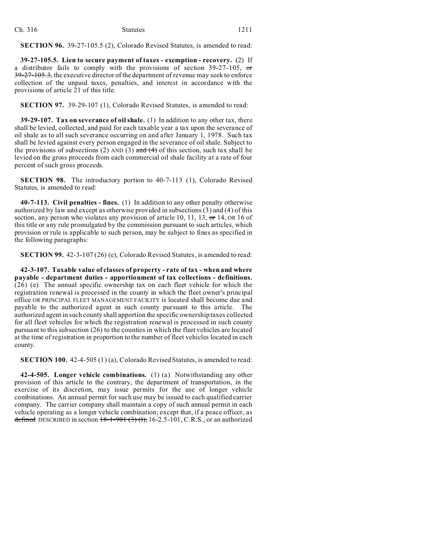**SECTION 96.** 39-27-105.5 (2), Colorado Revised Statutes, is amended to read:

**39-27-105.5. Lien to secure payment of taxes - exemption - recovery.** (2) If a distributor fails to comply with the provisions of section  $39-27-105$ , or  $39-27-105.3$ , the executive director of the department of revenue may seek to enforce collection of the unpaid taxes, penalties, and interest in accordance with the provisions of article 21 of this title.

**SECTION 97.** 39-29-107 (1), Colorado Revised Statutes, is amended to read:

**39-29-107. Tax on severance of oil shale.** (1) In addition to any other tax, there shall be levied, collected, and paid for each taxable year a tax upon the severance of oil shale as to all such severance occurring on and after January 1, 1978. Such tax shall be levied against every person engaged in the severance of oil shale. Subject to the provisions of subsections (2) AND (3) and (4) of this section, such tax shall be levied on the gross proceeds from each commercial oil shale facility at a rate of four percent of such gross proceeds.

**SECTION 98.** The introductory portion to 40-7-113 (1), Colorado Revised Statutes, is amended to read:

**40-7-113. Civil penalties - fines.** (1) In addition to any other penalty otherwise authorized by law and except as otherwise provided in subsections (3) and (4) of this section, any person who violates any provision of article 10, 11, 13,  $\sigma$  14, OR 16 of this title or any rule promulgated by the commission pursuant to such articles, which provision or rule is applicable to such person, may be subject to fines as specified in the following paragraphs:

**SECTION 99.** 42-3-107 (26) (e), Colorado Revised Statutes, is amended to read:

**42-3-107. Taxable value of classes of property - rate of tax - when and where payable - department duties - apportionment of tax collections - definitions.** (26) (e) The annual specific ownership tax on each fleet vehicle for which the registration renewal is processed in the county in which the fleet owner's principal office OR PRINCIPAL FLEET MANAGEMENT FACILITY is located shall become due and payable to the authorized agent in such county pursuant to this article. The authorized agent in such county shall apportion the specific ownership taxes collected for all fleet vehicles for which the registration renewal is processed in such county pursuant to this subsection (26) to the counties in which the fleet vehicles are located at the time of registration in proportion to the number of fleet vehicles located in each county.

**SECTION 100.** 42-4-505 (1) (a), Colorado Revised Statutes, is amended to read:

**42-4-505. Longer vehicle combinations.** (1) (a) Notwithstanding any other provision of this article to the contrary, the department of transportation, in the exercise of its discretion, may issue permits for the use of longer vehicle combinations. An annual permit for such use may be issued to each qualified carrier company. The carrier company shall maintain a copy of such annual permit in each vehicle operating as a longer vehicle combination; except that, if a peace officer, as defined DESCRIBED in section  $18-1-901(3)(1)$ , 16-2.5-101, C.R.S., or an authorized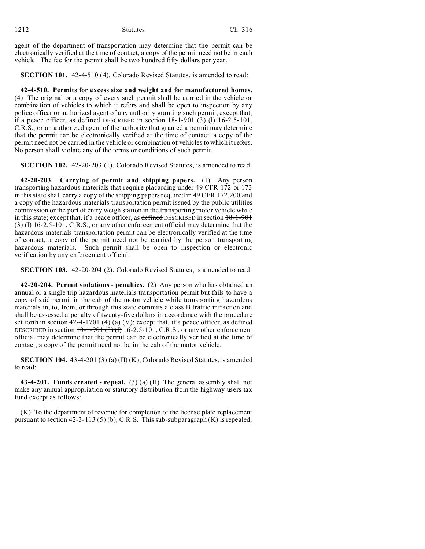agent of the department of transportation may determine that the permit can be electronically verified at the time of contact, a copy of the permit need not be in each vehicle. The fee for the permit shall be two hundred fifty dollars per year.

**SECTION 101.** 42-4-510 (4), Colorado Revised Statutes, is amended to read:

**42-4-510. Permits for excess size and weight and for manufactured homes.** (4) The original or a copy of every such permit shall be carried in the vehicle or combination of vehicles to which it refers and shall be open to inspection by any police officer or authorized agent of any authority granting such permit; except that, if a peace officer, as defined DESCRIBED in section  $18-1-901$  (3) (1) 16-2.5-101, C.R.S., or an authorized agent of the authority that granted a permit may determine that the permit can be electronically verified at the time of contact, a copy of the permit need not be carried in the vehicle or combination of vehicles to which it refers. No person shall violate any of the terms or conditions of such permit.

**SECTION 102.** 42-20-203 (1), Colorado Revised Statutes, is amended to read:

**42-20-203. Carrying of permit and shipping papers.** (1) Any person transporting hazardous materials that require placarding under 49 CFR 172 or 173 in this state shall carry a copy of the shipping papers required in 49 CFR 172.200 and a copy of the hazardous materials transportation permit issued by the public utilities commission or the port of entry weigh station in the transporting motor vehicle while in this state; except that, if a peace officer, as defined DESCRIBED in section  $18-1-901$  $(3)$  (1) 16-2.5-101, C.R.S., or any other enforcement official may determine that the hazardous materials transportation permit can be electronically verified at the time of contact, a copy of the permit need not be carried by the person transporting hazardous materials. Such permit shall be open to inspection or electronic verification by any enforcement official.

**SECTION 103.** 42-20-204 (2), Colorado Revised Statutes, is amended to read:

**42-20-204. Permit violations - penalties.** (2) Any person who has obtained an annual or a single trip hazardous materials transportation permit but fails to have a copy of said permit in the cab of the motor vehicle while transporting hazardous materials in, to, from, or through this state commits a class B traffic infraction and shall be assessed a penalty of twenty-five dollars in accordance with the procedure set forth in section  $42-4-1701$  (4) (a) (V); except that, if a peace officer, as defined DESCRIBED in section  $18-1-901(3)(1)$  16-2.5-101, C.R.S., or any other enforcement official may determine that the permit can be electronically verified at the time of contact, a copy of the permit need not be in the cab of the motor vehicle.

**SECTION 104.** 43-4-201 (3) (a) (II) (K), Colorado Revised Statutes, is amended to read:

**43-4-201. Funds created - repeal.** (3) (a) (II) The general assembly shall not make any annual appropriation or statutory distribution from the highway users tax fund except as follows:

(K) To the department of revenue for completion of the license plate replacement pursuant to section 42-3-113 (5) (b), C.R.S. This sub-subparagraph (K) is repealed,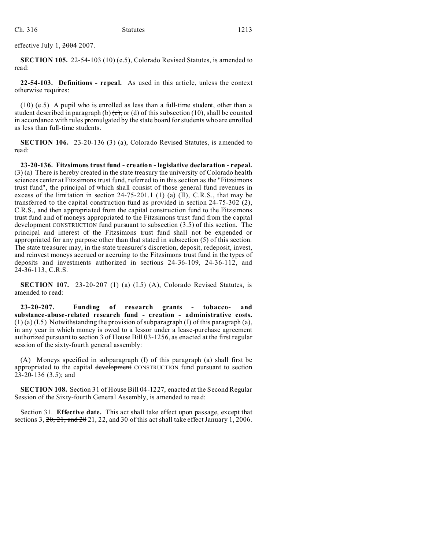effective July 1, 2004 2007.

**SECTION 105.** 22-54-103 (10) (e.5), Colorado Revised Statutes, is amended to read:

**22-54-103. Definitions - repeal.** As used in this article, unless the context otherwise requires:

(10) (e.5) A pupil who is enrolled as less than a full-time student, other than a student described in paragraph (b)  $(\epsilon)$ , or (d) of this subsection (10), shall be counted in accordance with rules promulgated by the state board for students who are enrolled as less than full-time students.

**SECTION 106.** 23-20-136 (3) (a), Colorado Revised Statutes, is amended to read:

**23-20-136. Fitzsimons trust fund - creation - legislative declaration - repeal.** (3) (a) There is hereby created in the state treasury the university of Colorado health sciences center at Fitzsimons trust fund, referred to in this section as the "Fitzsimons trust fund", the principal of which shall consist of those general fund revenues in excess of the limitation in section 24-75-201.1 (1) (a) (II), C.R.S., that may be transferred to the capital construction fund as provided in section 24-75-302 (2), C.R.S., and then appropriated from the capital construction fund to the Fitzsimons trust fund and of moneys appropriated to the Fitzsimons trust fund from the capital development CONSTRUCTION fund pursuant to subsection (3.5) of this section. The principal and interest of the Fitzsimons trust fund shall not be expended or appropriated for any purpose other than that stated in subsection (5) of this section. The state treasurer may, in the state treasurer's discretion, deposit, redeposit, invest, and reinvest moneys accrued or accruing to the Fitzsimons trust fund in the types of deposits and investments authorized in sections 24-36-109, 24-36-112, and 24-36-113, C.R.S.

**SECTION 107.** 23-20-207 (1) (a) (I.5) (A), Colorado Revised Statutes, is amended to read:

**23-20-207. Funding of research grants - tobacco- and substance-abuse-related research fund - creation - administrative costs.**  $(1)$  (a)  $(1.5)$  Notwithstanding the provision of subparagraph (I) of this paragraph (a), in any year in which money is owed to a lessor under a lease-purchase agreement authorized pursuant to section 3 of House Bill 03-1256, as enacted at the first regular session of the sixty-fourth general assembly:

(A) Moneys specified in subparagraph (I) of this paragraph (a) shall first be appropriated to the capital development CONSTRUCTION fund pursuant to section 23-20-136 (3.5); and

**SECTION 108.** Section 31 of House Bill 04-1227, enacted at the Second Regular Session of the Sixty-fourth General Assembly, is amended to read:

Section 31. **Effective date.** This act shall take effect upon passage, except that sections  $3, 20, 21,$  and  $28$   $21, 22,$  and  $30$  of this act shall take effect January 1, 2006.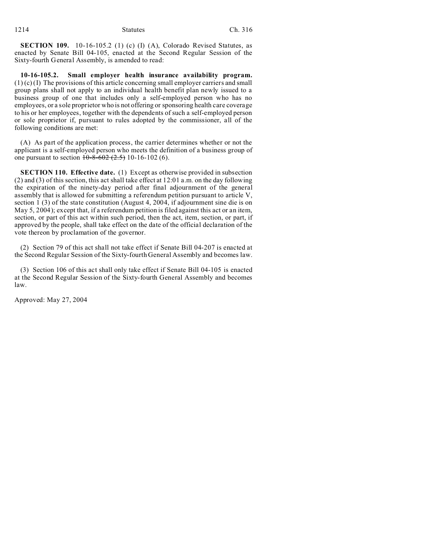**SECTION 109.** 10-16-105.2 (1) (c) (I) (A), Colorado Revised Statutes, as enacted by Senate Bill 04-105, enacted at the Second Regular Session of the Sixty-fourth General Assembly, is amended to read:

**10-16-105.2. Small employer health insurance availability program.**  $(1)$  (c) (I) The provisions of this article concerning small employer carriers and small group plans shall not apply to an individual health benefit plan newly issued to a business group of one that includes only a self-employed person who has no employees, or a sole proprietor who is not offering or sponsoring health care coverage to his or her employees, together with the dependents of such a self-employed person or sole proprietor if, pursuant to rules adopted by the commissioner, all of the following conditions are met:

(A) As part of the application process, the carrier determines whether or not the applicant is a self-employed person who meets the definition of a business group of one pursuant to section  $10-8-602$   $(2.5)$  10-16-102 (6).

**SECTION 110. Effective date.** (1) Except as otherwise provided in subsection (2) and (3) of this section, this act shall take effect at 12:01 a.m. on the day following the expiration of the ninety-day period after final adjournment of the general assembly that is allowed for submitting a referendum petition pursuant to article V, section 1 (3) of the state constitution (August 4, 2004, if adjournment sine die is on May 5, 2004); except that, if a referendum petition is filed against this act or an item, section, or part of this act within such period, then the act, item, section, or part, if approved by the people, shall take effect on the date of the official declaration of the vote thereon by proclamation of the governor.

(2) Section 79 of this act shall not take effect if Senate Bill 04-207 is enacted at the Second Regular Session of the Sixty-fourth General Assembly and becomes law.

(3) Section 106 of this act shall only take effect if Senate Bill 04-105 is enacted at the Second Regular Session of the Sixty-fourth General Assembly and becomes law.

Approved: May 27, 2004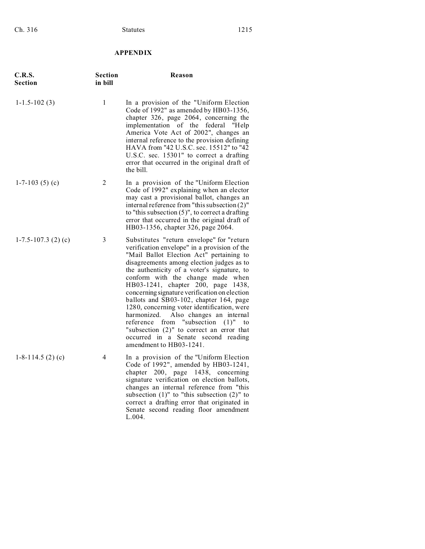## **APPENDIX**

| <b>C.R.S.</b><br><b>Section</b> | <b>Section</b><br>in bill | Reason                                                                                                                                                                                                                                                                                                                                                                                                                                                                                                                                                                                                                                                            |
|---------------------------------|---------------------------|-------------------------------------------------------------------------------------------------------------------------------------------------------------------------------------------------------------------------------------------------------------------------------------------------------------------------------------------------------------------------------------------------------------------------------------------------------------------------------------------------------------------------------------------------------------------------------------------------------------------------------------------------------------------|
| $1 - 1.5 - 102(3)$              | 1                         | In a provision of the "Uniform Election<br>Code of 1992" as amended by HB03-1356,<br>chapter 326, page 2064, concerning the<br>implementation of the federal<br>"Help<br>America Vote Act of 2002", changes an<br>internal reference to the provision defining<br>HAVA from "42 U.S.C. sec. 15512" to "42<br>U.S.C. sec. 15301" to correct a drafting<br>error that occurred in the original draft of<br>the bill.                                                                                                                                                                                                                                                |
| 1-7-103 (5) (c)                 | 2                         | In a provision of the "Uniform Election<br>Code of 1992" explaining when an elector<br>may cast a provisional ballot, changes an<br>internal reference from "this subsection (2)"<br>to "this subsection $(5)$ ", to correct a drafting<br>error that occurred in the original draft of<br>HB03-1356, chapter 326, page 2064.                                                                                                                                                                                                                                                                                                                                     |
| 1-7.5-107.3 $(2)$ (c)           | 3                         | Substitutes "return envelope" for "return<br>verification envelope" in a provision of the<br>"Mail Ballot Election Act" pertaining to<br>disagreements among election judges as to<br>the authenticity of a voter's signature, to<br>conform with the change made when<br>HB03-1241, chapter 200, page 1438,<br>concerning signature verification on election<br>ballots and SB03-102, chapter 164, page<br>1280, concerning voter identification, were<br>harmonized.<br>Also changes an internal<br>reference from "subsection (1)"<br>$\tau$<br>"subsection $(2)$ " to correct an error that<br>occurred in a Senate second reading<br>amendment to HB03-1241. |
| $1-8-114.5(2)(c)$               | 4                         | In a provision of the "Uniform Election<br>Code of 1992", amended by HB03-1241,<br>chapter 200, page 1438, concerning<br>signature verification on election ballots,<br>changes an internal reference from "this<br>subsection $(1)$ " to "this subsection $(2)$ " to<br>correct a drafting error that originated in<br>Senate second reading floor amendment<br>L.004.                                                                                                                                                                                                                                                                                           |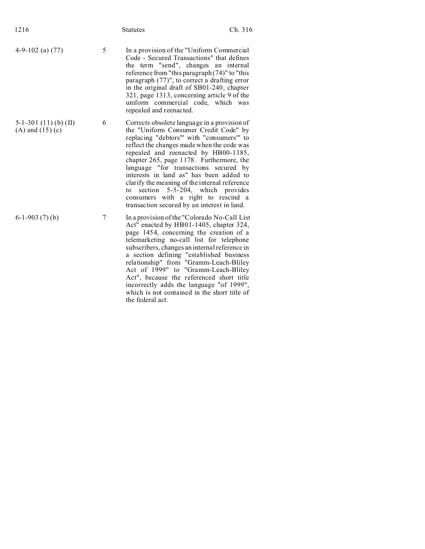| 1216                                              |   | <b>Statutes</b>                                                                                                                                                                                                                                                                                                                                                                                                                                                                                                                           | Ch. 316 |
|---------------------------------------------------|---|-------------------------------------------------------------------------------------------------------------------------------------------------------------------------------------------------------------------------------------------------------------------------------------------------------------------------------------------------------------------------------------------------------------------------------------------------------------------------------------------------------------------------------------------|---------|
| 4-9-102 (a) $(77)$                                | 5 | In a provision of the "Uniform Commercial<br>Code - Secured Transactions" that defines<br>the term "send", changes an internal<br>reference from "this paragraph (74)" to "this<br>paragraph (77)", to correct a drafting error<br>in the original draft of SB01-240, chapter<br>321, page 1313, concerning article 9 of the<br>uniform commercial code, which was<br>repealed and reenacted.                                                                                                                                             |         |
| 5-1-301 $(11)$ $(b)$ $(II)$<br>(A) and $(15)$ (c) | 6 | Corrects obsolete language in a provision of<br>the "Uniform Consumer Credit Code" by<br>replacing "debtors" with "consumers" to<br>reflect the changes made when the code was<br>repealed and reenacted by HB00-1185,<br>chapter 265, page 1178. Furthermore, the<br>language "for transactions secured by<br>interests in land as" has been added to<br>clarify the meaning of the internal reference<br>5-5-204, which provides<br>section<br>to<br>consumers with a right to rescind a<br>transaction secured by an interest in land. |         |
| $6-1-903(7)(b)$                                   | 7 | In a provision of the "Colorado No-Call List<br>Act" enacted by HB01-1405, chapter 324,<br>page 1454, concerning the creation of a<br>telemarketing no-call list for telephone<br>subscribers, changes an internal reference in<br>a section defining "established business<br>relationship" from "Gramm-Leach-Bliley<br>Act of 1999" to "Gramm-Leach-Bliley<br>Act", because the referenced short title<br>incorrectly adds the language "of 1999",<br>which is not contained in the short title of<br>the federal act.                  |         |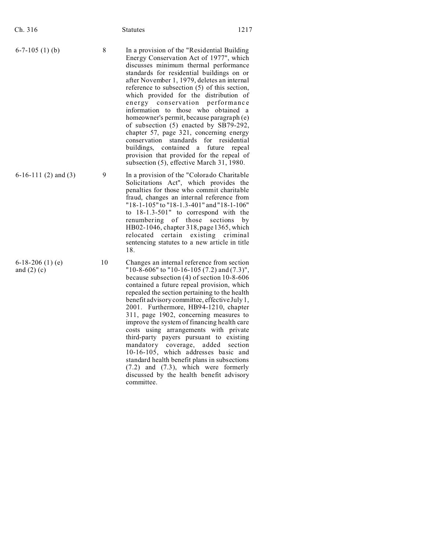| Ch. 316                            |    | <b>Statutes</b>                                                                                                                                                                                                                                                                                                                                                                                                                                                                                                                                                                                                                                                                                                                                        | 1217   |
|------------------------------------|----|--------------------------------------------------------------------------------------------------------------------------------------------------------------------------------------------------------------------------------------------------------------------------------------------------------------------------------------------------------------------------------------------------------------------------------------------------------------------------------------------------------------------------------------------------------------------------------------------------------------------------------------------------------------------------------------------------------------------------------------------------------|--------|
| $6 - 7 - 105$ (1) (b)              | 8  | In a provision of the "Residential Building"<br>Energy Conservation Act of 1977", which<br>discusses minimum thermal performance<br>standards for residential buildings on or<br>after November 1, 1979, deletes an internal<br>reference to subsection (5) of this section,<br>which provided for the distribution of<br>energy conservation performance<br>information to those who obtained a<br>homeowner's permit, because paragraph (e)<br>of subsection (5) enacted by SB79-292,<br>chapter 57, page 321, concerning energy<br>conservation standards for residential<br>buildings, contained a<br>future<br>provision that provided for the repeal of<br>subsection (5), effective March 31, 1980.                                             | repeal |
| $6-16-111$ (2) and (3)             | 9  | In a provision of the "Colorado Charitable<br>Solicitations Act", which provides the<br>penalties for those who commit charitable<br>fraud, changes an internal reference from<br>"18-1-105" to "18-1.3-401" and "18-1-106"<br>to 18-1.3-501" to correspond with the<br>renumbering of<br>those<br>sections<br>HB02-1046, chapter 318, page 1365, which<br>relocated certain existing criminal<br>sentencing statutes to a new article in title<br>18.                                                                                                                                                                                                                                                                                                 | by     |
| $6-18-206(1)$ (e)<br>and $(2)$ (c) | 10 | Changes an internal reference from section<br>"10-8-606" to "10-16-105 (7.2) and $(7.3)$ ",<br>because subsection (4) of section 10-8-606<br>contained a future repeal provision, which<br>repealed the section pertaining to the health<br>benefit advisory committee, effective July 1,<br>2001. Furthermore, HB94-1210, chapter<br>311, page 1902, concerning measures to<br>improve the system of financing health care<br>costs using arrangements with private<br>third-party payers pursuant to existing<br>mandatory coverage,<br>added section<br>10-16-105, which addresses basic and<br>standard health benefit plans in subsections<br>$(7.2)$ and $(7.3)$ , which were formerly<br>discussed by the health benefit advisory<br>committee. |        |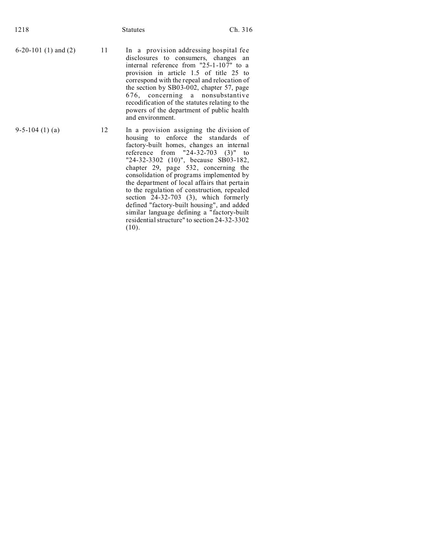- $6-20-101$  (1) and (2) 11 In a provision addressing hospital fee
	- disclosures to consumers, changes an internal reference from "25-1-107" to a provision in article 1.5 of title 25 to correspond with the repeal and relocation of the section by SB03-002, chapter 57, page 676, concerning a nonsubstantive recodification of the statutes relating to the powers of the department of public health and environment.
- $9-5-104(1)(a)$  12 In a provision assigning the division of housing to enforce the standards of factory-built homes, changes an internal reference from "24-32-703 (3)" to "24-32-3302 (10)", because SB03-182, chapter 29, page 532, concerning the consolidation of programs implemented by the department of local affairs that pertain to the regulation of construction, repealed section 24-32-703 (3), which formerly defined "factory-built housing", and added similar language defining a "factory-built residential structure" to section 24-32-3302 (10).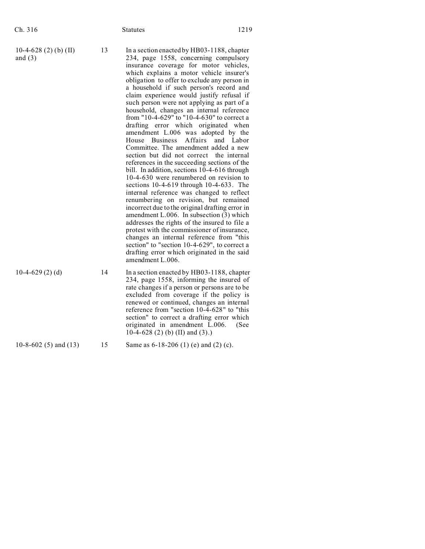| Ch. 316                                  |    | Statutes                                                                                                                                                                                                                                                                                                                                                                                                                                                                                                                                                                                                                                                                                                                                                                                                                                                                                                                                                                                                                                                                                                                                                                                                                                                                                                        | 1219 |
|------------------------------------------|----|-----------------------------------------------------------------------------------------------------------------------------------------------------------------------------------------------------------------------------------------------------------------------------------------------------------------------------------------------------------------------------------------------------------------------------------------------------------------------------------------------------------------------------------------------------------------------------------------------------------------------------------------------------------------------------------------------------------------------------------------------------------------------------------------------------------------------------------------------------------------------------------------------------------------------------------------------------------------------------------------------------------------------------------------------------------------------------------------------------------------------------------------------------------------------------------------------------------------------------------------------------------------------------------------------------------------|------|
| 10-4-628 $(2)$ $(b)$ $(II)$<br>and $(3)$ | 13 | In a section enacted by HB03-1188, chapter<br>234, page 1558, concerning compulsory<br>insurance coverage for motor vehicles,<br>which explains a motor vehicle insurer's<br>obligation to offer to exclude any person in<br>a household if such person's record and<br>claim experience would justify refusal if<br>such person were not applying as part of a<br>household, changes an internal reference<br>from "10-4-629" to "10-4-630" to correct a<br>drafting error which originated when<br>amendment L.006 was adopted by the<br>House Business<br>Affairs<br>and Labor<br>Committee. The amendment added a new<br>section but did not correct the internal<br>references in the succeeding sections of the<br>bill. In addition, sections 10-4-616 through<br>10-4-630 were renumbered on revision to<br>sections 10-4-619 through 10-4-633. The<br>internal reference was changed to reflect<br>renumbering on revision, but remained<br>incorrect due to the original drafting error in<br>amendment L.006. In subsection (3) which<br>addresses the rights of the insured to file a<br>protest with the commissioner of insurance,<br>changes an internal reference from "this<br>section" to "section 10-4-629", to correct a<br>drafting error which originated in the said<br>amendment L.006. |      |
| 10-4-629 $(2)$ $(d)$                     | 14 | In a section enacted by HB03-1188, chapter<br>234, page 1558, informing the insured of<br>rate changes if a person or persons are to be<br>excluded from coverage if the policy is<br>renewed or continued, changes an internal<br>reference from "section 10-4-628" to "this<br>section" to correct a drafting error which<br>originated in amendment L.006.<br>10-4-628 (2) (b) (II) and (3).)                                                                                                                                                                                                                                                                                                                                                                                                                                                                                                                                                                                                                                                                                                                                                                                                                                                                                                                | (See |
| 10-8-602 $(5)$ and $(13)$                | 15 | Same as $6-18-206$ (1) (e) and (2) (c).                                                                                                                                                                                                                                                                                                                                                                                                                                                                                                                                                                                                                                                                                                                                                                                                                                                                                                                                                                                                                                                                                                                                                                                                                                                                         |      |
|                                          |    |                                                                                                                                                                                                                                                                                                                                                                                                                                                                                                                                                                                                                                                                                                                                                                                                                                                                                                                                                                                                                                                                                                                                                                                                                                                                                                                 |      |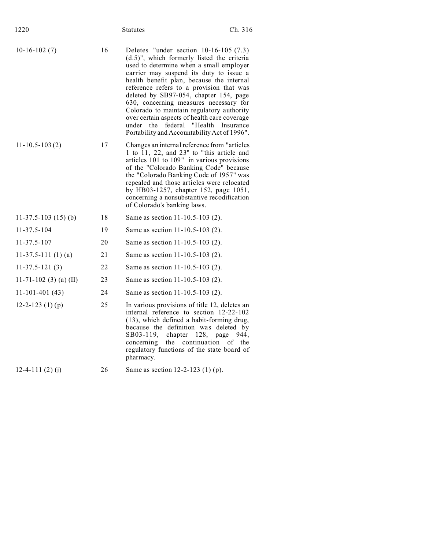| 1220                   |    | <b>Statutes</b>                                                                                                                                                                                                                                                                                                                                                                                                                                                                                                                          | Ch. 316           |
|------------------------|----|------------------------------------------------------------------------------------------------------------------------------------------------------------------------------------------------------------------------------------------------------------------------------------------------------------------------------------------------------------------------------------------------------------------------------------------------------------------------------------------------------------------------------------------|-------------------|
| $10-16-102(7)$         | 16 | Deletes "under section $10-16-105(7.3)$<br>$(d.5)$ ", which formerly listed the criteria<br>used to determine when a small employer<br>carrier may suspend its duty to issue a<br>health benefit plan, because the internal<br>reference refers to a provision that was<br>deleted by SB97-054, chapter 154, page<br>630, concerning measures necessary for<br>Colorado to maintain regulatory authority<br>over certain aspects of health care coverage<br>under the federal<br>"Health<br>Portability and Accountability Act of 1996". | Insurance         |
| $11 - 10.5 - 103(2)$   | 17 | Changes an internal reference from "articles<br>1 to 11, 22, and 23" to "this article and<br>articles 101 to 109" in various provisions<br>of the "Colorado Banking Code" because<br>the "Colorado Banking Code of 1957" was<br>repealed and those articles were relocated<br>by HB03-1257, chapter 152, page 1051,<br>concerning a nonsubstantive recodification<br>of Colorado's banking laws.                                                                                                                                         |                   |
| $11-37.5-103(15)(b)$   | 18 | Same as section 11-10.5-103 (2).                                                                                                                                                                                                                                                                                                                                                                                                                                                                                                         |                   |
| 11-37.5-104            | 19 | Same as section 11-10.5-103 (2).                                                                                                                                                                                                                                                                                                                                                                                                                                                                                                         |                   |
| 11-37.5-107            | 20 | Same as section 11-10.5-103 (2).                                                                                                                                                                                                                                                                                                                                                                                                                                                                                                         |                   |
| $11-37.5-111(1)$ (a)   | 21 | Same as section 11-10.5-103 (2).                                                                                                                                                                                                                                                                                                                                                                                                                                                                                                         |                   |
| $11-37.5-121(3)$       | 22 | Same as section 11-10.5-103 (2).                                                                                                                                                                                                                                                                                                                                                                                                                                                                                                         |                   |
| 11-71-102 (3) (a) (II) | 23 | Same as section 11-10.5-103 (2).                                                                                                                                                                                                                                                                                                                                                                                                                                                                                                         |                   |
| $11-101-401(43)$       | 24 | Same as section 11-10.5-103 (2).                                                                                                                                                                                                                                                                                                                                                                                                                                                                                                         |                   |
| $12 - 2 - 123$ (1) (p) | 25 | In various provisions of title 12, deletes an<br>internal reference to section 12-22-102<br>(13), which defined a habit-forming drug,<br>because the definition was deleted by<br>SB03-119,<br>chapter<br>128,<br>page<br>the<br>continuation<br>concerning<br>regulatory functions of the state board of<br>pharmacy.                                                                                                                                                                                                                   | 944.<br>the<br>of |
| $12-4-111(2)$ (j)      | 26 | Same as section 12-2-123 (1) (p).                                                                                                                                                                                                                                                                                                                                                                                                                                                                                                        |                   |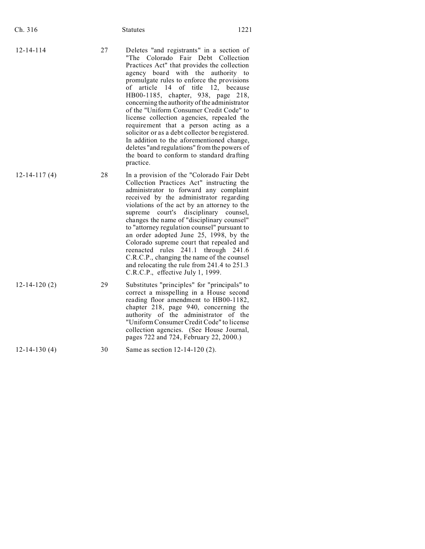| Ch. 316            |    | <b>Statutes</b>                                                                                                                                                                                                                                                                                                                                                                                                                                                                                                                                                                                                                                                                               | 1221            |
|--------------------|----|-----------------------------------------------------------------------------------------------------------------------------------------------------------------------------------------------------------------------------------------------------------------------------------------------------------------------------------------------------------------------------------------------------------------------------------------------------------------------------------------------------------------------------------------------------------------------------------------------------------------------------------------------------------------------------------------------|-----------------|
| 12-14-114          | 27 | Deletes "and registrants" in a section of<br>"The Colorado Fair Debt Collection<br>Practices Act" that provides the collection<br>agency board with the<br>authority to<br>promulgate rules to enforce the provisions<br>of title<br>of<br>article<br>14<br>12,<br>HB00-1185, chapter, 938, page<br>concerning the authority of the administrator<br>of the "Uniform Consumer Credit Code" to<br>license collection agencies, repealed the<br>requirement that a person acting as a<br>solicitor or as a debt collector be registered.<br>In addition to the aforementioned change,<br>deletes "and regulations" from the powers of<br>the board to conform to standard drafting<br>practice. | because<br>218, |
| $12 - 14 - 117(4)$ | 28 | In a provision of the "Colorado Fair Debt<br>Collection Practices Act" instructing the<br>administrator to forward any complaint<br>received by the administrator regarding<br>violations of the act by an attorney to the<br>court's<br>disciplinary counsel,<br>supreme<br>changes the name of "disciplinary counsel"<br>to "attorney regulation counsel" pursuant to<br>an order adopted June 25, 1998, by the<br>Colorado supreme court that repealed and<br>reenacted rules 241.1 through 241.6<br>C.R.C.P., changing the name of the counsel<br>and relocating the rule from 241.4 to 251.3<br>C.R.C.P., effective July 1, 1999.                                                        |                 |
| $12 - 14 - 120(2)$ | 29 | Substitutes "principles" for "principals" to<br>correct a misspelling in a House second<br>reading floor amendment to HB00-1182,<br>chapter 218, page 940, concerning the<br>authority of the administrator of the<br>"Uniform Consumer Credit Code" to license<br>collection agencies. (See House Journal,<br>pages 722 and 724, February 22, 2000.)                                                                                                                                                                                                                                                                                                                                         |                 |
| $12 - 14 - 130(4)$ | 30 | Same as section 12-14-120 (2).                                                                                                                                                                                                                                                                                                                                                                                                                                                                                                                                                                                                                                                                |                 |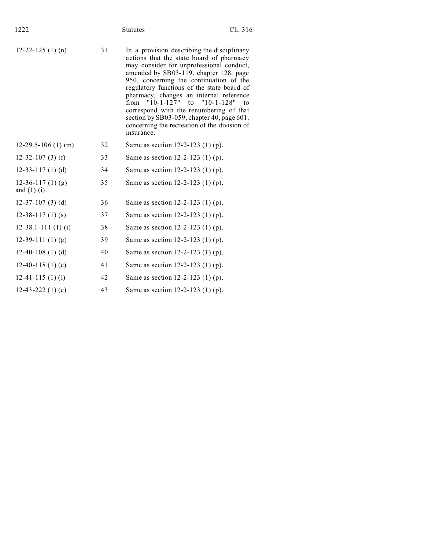| 1222                                |    | <b>Statutes</b>                                                                                                                                                                                                                                                                                                                                                                                                                                                                                                 | Ch. 316 |
|-------------------------------------|----|-----------------------------------------------------------------------------------------------------------------------------------------------------------------------------------------------------------------------------------------------------------------------------------------------------------------------------------------------------------------------------------------------------------------------------------------------------------------------------------------------------------------|---------|
| $12 - 22 - 125$ (1) (n)             | 31 | In a provision describing the disciplinary<br>actions that the state board of pharmacy<br>may consider for unprofessional conduct,<br>amended by SB03-119, chapter 128, page<br>950, concerning the continuation of the<br>regulatory functions of the state board of<br>pharmacy, changes an internal reference<br>from $"10-1-127"$ to<br>$"10-1-128"$<br>correspond with the renumbering of that<br>section by SB03-059, chapter 40, page 601,<br>concerning the recreation of the division of<br>insurance. | to      |
| $12 - 29.5 - 106(1)$ (m)            | 32 | Same as section 12-2-123 (1) (p).                                                                                                                                                                                                                                                                                                                                                                                                                                                                               |         |
| $12-32-107(3)$ (f)                  | 33 | Same as section 12-2-123 (1) (p).                                                                                                                                                                                                                                                                                                                                                                                                                                                                               |         |
| $12-33-117(1)$ (d)                  | 34 | Same as section 12-2-123 (1) (p).                                                                                                                                                                                                                                                                                                                                                                                                                                                                               |         |
| $12-36-117(1)$ (g)<br>and $(1)$ (i) | 35 | Same as section 12-2-123 (1) (p).                                                                                                                                                                                                                                                                                                                                                                                                                                                                               |         |
| $12-37-107$ (3) (d)                 | 36 | Same as section 12-2-123 (1) (p).                                                                                                                                                                                                                                                                                                                                                                                                                                                                               |         |
| $12-38-117(1)(s)$                   | 37 | Same as section 12-2-123 (1) (p).                                                                                                                                                                                                                                                                                                                                                                                                                                                                               |         |
| $12-38.1-111(1)$ (i)                | 38 | Same as section 12-2-123 (1) (p).                                                                                                                                                                                                                                                                                                                                                                                                                                                                               |         |
| $12-39-111(1)$ (g)                  | 39 | Same as section 12-2-123 (1) (p).                                                                                                                                                                                                                                                                                                                                                                                                                                                                               |         |
| 12-40-108 (1) (d)                   | 40 | Same as section 12-2-123 (1) (p).                                                                                                                                                                                                                                                                                                                                                                                                                                                                               |         |
| $12-40-118(1)$ (e)                  | 41 | Same as section 12-2-123 (1) (p).                                                                                                                                                                                                                                                                                                                                                                                                                                                                               |         |
| $12-41-115(1)$ (1)                  | 42 | Same as section 12-2-123 (1) (p).                                                                                                                                                                                                                                                                                                                                                                                                                                                                               |         |
| $12-43-222(1)$ (e)                  | 43 | Same as section 12-2-123 (1) (p).                                                                                                                                                                                                                                                                                                                                                                                                                                                                               |         |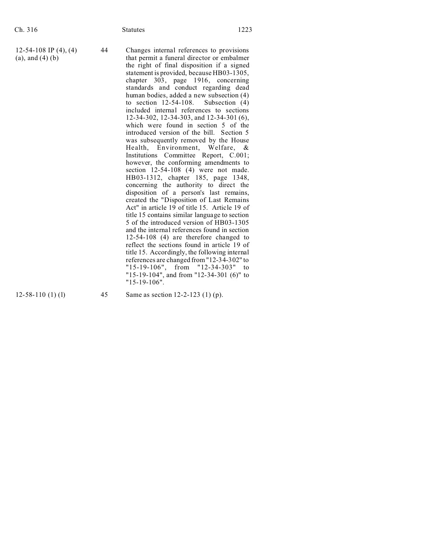| 12-54-108 IP $(4)$ , $(4)$<br>$(a)$ , and $(4)$ $(b)$ | 44 | Changes internal references to provisions<br>that permit a funeral director or embalmer<br>the right of final disposition if a signed<br>statement is provided, because HB03-1305,<br>chapter 303, page 1916, concerning<br>standards and conduct regarding dead<br>human bodies, added a new subsection (4)<br>to section $12-54-108$ . Subsection $(4)$<br>included internal references to sections<br>12-34-302, 12-34-303, and 12-34-301 (6),<br>which were found in section 5 of the<br>introduced version of the bill. Section 5<br>was subsequently removed by the House<br>Health, Environment, Welfare, &<br>Institutions Committee Report, C.001;<br>however, the conforming amendments to<br>section $12-54-108$ (4) were not made.<br>HB03-1312, chapter 185, page 1348,<br>concerning the authority to direct the<br>disposition of a person's last remains,<br>created the "Disposition of Last Remains<br>Act" in article 19 of title 15. Article 19 of<br>title 15 contains similar language to section<br>5 of the introduced version of HB03-1305<br>and the internal references found in section<br>$12-54-108$ (4) are therefore changed to<br>reflect the sections found in article 19 of<br>title 15. Accordingly, the following internal |
|-------------------------------------------------------|----|-----------------------------------------------------------------------------------------------------------------------------------------------------------------------------------------------------------------------------------------------------------------------------------------------------------------------------------------------------------------------------------------------------------------------------------------------------------------------------------------------------------------------------------------------------------------------------------------------------------------------------------------------------------------------------------------------------------------------------------------------------------------------------------------------------------------------------------------------------------------------------------------------------------------------------------------------------------------------------------------------------------------------------------------------------------------------------------------------------------------------------------------------------------------------------------------------------------------------------------------------------------------|
|                                                       |    | references are changed from "12-34-302" to<br>"15-19-106", from "12-34-303" to<br>"15-19-104", and from "12-34-301 (6)" to<br>$"15-19-106"$ .                                                                                                                                                                                                                                                                                                                                                                                                                                                                                                                                                                                                                                                                                                                                                                                                                                                                                                                                                                                                                                                                                                                   |

12-58-110 (1) (1) 45 Same as section 12-2-123 (1) (p).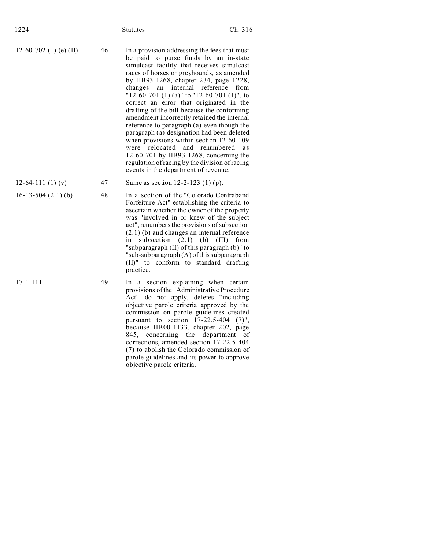| 1224                    |    | <b>Statutes</b>                                                                                                                                                                                                                                                                                                                                                                                                                                                                                                                                                                                                                                                                                                                                                            | Ch. 316    |
|-------------------------|----|----------------------------------------------------------------------------------------------------------------------------------------------------------------------------------------------------------------------------------------------------------------------------------------------------------------------------------------------------------------------------------------------------------------------------------------------------------------------------------------------------------------------------------------------------------------------------------------------------------------------------------------------------------------------------------------------------------------------------------------------------------------------------|------------|
| 12-60-702 (1) (e) (II)  | 46 | In a provision addressing the fees that must<br>be paid to purse funds by an in-state<br>simulcast facility that receives simulcast<br>races of horses or greyhounds, as amended<br>by HB93-1268, chapter 234, page 1228,<br>internal reference<br>changes<br>an<br>"12-60-701 (1) (a)" to "12-60-701 (1)", to<br>correct an error that originated in the<br>drafting of the bill because the conforming<br>amendment incorrectly retained the internal<br>reference to paragraph (a) even though the<br>paragraph (a) designation had been deleted<br>when provisions within section 12-60-109<br>relocated<br>and renumbered<br>were<br>12-60-701 by HB93-1268, concerning the<br>regulation of racing by the division of racing<br>events in the department of revenue. | from<br>as |
| $12-64-111(1)$ (v)      | 47 | Same as section 12-2-123 (1) (p).                                                                                                                                                                                                                                                                                                                                                                                                                                                                                                                                                                                                                                                                                                                                          |            |
| 16-13-504 $(2.1)$ $(b)$ | 48 | In a section of the "Colorado Contraband"<br>Forfeiture Act" establishing the criteria to<br>ascertain whether the owner of the property<br>was "involved in or knew of the subject<br>act", renumbers the provisions of subsection<br>$(2.1)$ (b) and changes an internal reference<br>subsection<br>(2.1)<br>(b)<br>(III)<br>1n<br>"subparagraph (II) of this paragraph (b)" to<br>"sub-subparagraph (A) of this subparagraph<br>(II)" to conform to standard drafting<br>practice.                                                                                                                                                                                                                                                                                      | from       |

17-1-111 49 In a section explaining when certain provisions of the "Administrative Procedure Act" do not apply, deletes "including objective parole criteria approved by the commission on parole guidelines created pursuant to section 17-22.5-404 (7)", because HB00-1133, chapter 202, page 845, concerning the department of corrections, amended section 17-22.5-404 (7) to abolish the Colorado commission of parole guidelines and its power to approve objective parole criteria.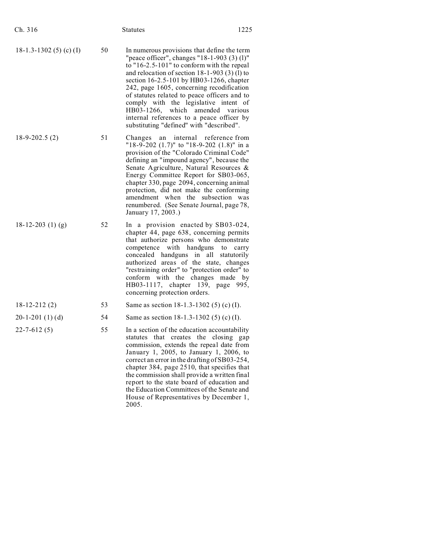| Ch. 316                 |    | <b>Statutes</b>                                                                                                                                                                                                                                                                                                                                                                                                                                                                                  | 1225                    |
|-------------------------|----|--------------------------------------------------------------------------------------------------------------------------------------------------------------------------------------------------------------------------------------------------------------------------------------------------------------------------------------------------------------------------------------------------------------------------------------------------------------------------------------------------|-------------------------|
| 18-1.3-1302 (5) (c) (I) | 50 | In numerous provisions that define the term<br>"peace officer", changes "18-1-903 (3) (1)"<br>to "16-2.5-101" to conform with the repeal<br>and relocation of section 18-1-903 (3) (1) to<br>section 16-2.5-101 by HB03-1266, chapter<br>242, page 1605, concerning recodification<br>of statutes related to peace officers and to<br>comply with the legislative intent of<br>HB03-1266, which amended<br>internal references to a peace officer by<br>substituting "defined" with "described". | various                 |
| $18-9-202.5(2)$         | 51 | an internal reference from<br>Changes<br>"18-9-202 $(1.7)$ " to "18-9-202 $(1.8)$ " in a<br>provision of the "Colorado Criminal Code"<br>defining an "impound agency", because the<br>Senate Agriculture, Natural Resources &<br>Energy Committee Report for SB03-065,<br>chapter 330, page 2094, concerning animal<br>protection, did not make the conforming<br>amendment when the subsection was<br>renumbered. (See Senate Journal, page 78,<br>January 17, 2003.)                           |                         |
| $18-12-203$ (1) (g)     | 52 | In a provision enacted by SB03-024,<br>chapter 44, page 638, concerning permits<br>that authorize persons who demonstrate<br>competence with handguns<br>concealed handguns in<br>all<br>authorized areas of the state, changes<br>"restraining order" to "protection order" to<br>conform with the changes made by<br>HB03-1117, chapter 139, page 995,<br>concerning protection orders.                                                                                                        | to carry<br>statutorily |
| $18 - 12 - 212(2)$      | 53 | Same as section 18-1.3-1302 (5) (c) (I).                                                                                                                                                                                                                                                                                                                                                                                                                                                         |                         |
| $20-1-201(1)(d)$        | 54 | Same as section 18-1.3-1302 (5) (c) (I).                                                                                                                                                                                                                                                                                                                                                                                                                                                         |                         |
| $22 - 7 - 612(5)$       | 55 | In a section of the education accountability<br>statutes that creates the closing gap<br>commission, extends the repeal date from<br>January 1, 2005, to January 1, 2006, to<br>correct an error in the drafting of SB03-254,<br>chapter 384, page 2510, that specifies that<br>the commission shall provide a written final<br>report to the state board of education and<br>the Education Committees of the Senate and<br>House of Representatives by December 1,<br>2005.                     |                         |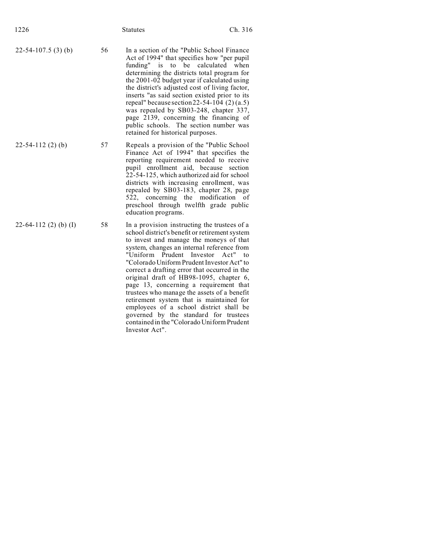| 1226                    |    | <b>Statutes</b>                                                                                                                                                                                                                                                                                                                                                                                                                                                                                                                                                                                                                                         | Ch. 316                |
|-------------------------|----|---------------------------------------------------------------------------------------------------------------------------------------------------------------------------------------------------------------------------------------------------------------------------------------------------------------------------------------------------------------------------------------------------------------------------------------------------------------------------------------------------------------------------------------------------------------------------------------------------------------------------------------------------------|------------------------|
| $22-54-107.5$ (3) (b)   | 56 | In a section of the "Public School Finance"<br>Act of 1994" that specifies how "per pupil<br>funding" is to be calculated when<br>determining the districts total program for<br>the 2001-02 budget year if calculated using<br>the district's adjusted cost of living factor,<br>inserts "as said section existed prior to its<br>repeal" because section 22-54-104 $(2)$ (a.5)<br>was repealed by SB03-248, chapter 337,<br>page 2139, concerning the financing of<br>public schools. The section number was<br>retained for historical purposes.                                                                                                     |                        |
| $22 - 54 - 112(2)$ (b)  | 57 | Repeals a provision of the "Public School"<br>Finance Act of 1994" that specifies the<br>reporting requirement needed to receive<br>pupil enrollment aid, because section<br>22-54-125, which authorized aid for school<br>districts with increasing enrollment, was<br>repealed by SB03-183, chapter 28, page<br>522, concerning the modification<br>preschool through twelfth grade public<br>education programs.                                                                                                                                                                                                                                     | of                     |
| $22-64-112$ (2) (b) (I) | 58 | In a provision instructing the trustees of a<br>school district's benefit or retirement system<br>to invest and manage the moneys of that<br>system, changes an internal reference from<br>"Uniform Prudent Investor<br>"Colorado Uniform Prudent Investor Act" to<br>correct a drafting error that occurred in the<br>original draft of HB98-1095, chapter 6,<br>page 13, concerning a requirement that<br>trustees who manage the assets of a benefit<br>retirement system that is maintained for<br>employees of a school district shall be<br>governed by the standard for trustees<br>contained in the "Colorado Uniform Prudent<br>Investor Act". | Act''<br>$\mathsf{to}$ |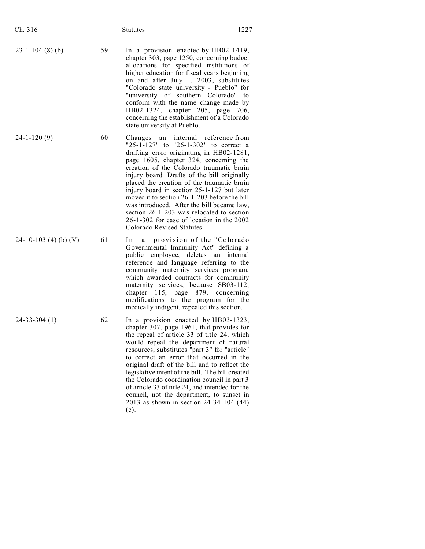| Ch. 316                |    | Statutes                                                                                                                                                                                                                                                                                                                                                                                                                                                                                                                                                                          | 1227 |
|------------------------|----|-----------------------------------------------------------------------------------------------------------------------------------------------------------------------------------------------------------------------------------------------------------------------------------------------------------------------------------------------------------------------------------------------------------------------------------------------------------------------------------------------------------------------------------------------------------------------------------|------|
| $23 - 1 - 104$ (8) (b) | 59 | In a provision enacted by HB02-1419,<br>chapter 303, page 1250, concerning budget<br>allocations for specified institutions of<br>higher education for fiscal years beginning<br>on and after July 1, 2003, substitutes<br>"Colorado state university - Pueblo" for<br>"university of southern Colorado" to<br>conform with the name change made by<br>HB02-1324, chapter 205, page 706,<br>concerning the establishment of a Colorado<br>state university at Pueblo.                                                                                                             |      |
| $24-1-120(9)$          | 60 | an internal reference from<br>Changes<br>"25-1-127" to "26-1-302" to correct a<br>drafting error originating in HB02-1281,<br>page 1605, chapter 324, concerning the<br>creation of the Colorado traumatic brain<br>injury board. Drafts of the bill originally<br>placed the creation of the traumatic brain<br>injury board in section 25-1-127 but later<br>moved it to section 26-1-203 before the bill<br>was introduced. After the bill became law,<br>section 26-1-203 was relocated to section<br>26-1-302 for ease of location in the 2002<br>Colorado Revised Statutes. |      |
| 24-10-103 (4) (b) (V)  | 61 | provision of the "Colorado<br>In.<br>a —<br>Governmental Immunity Act" defining a<br>employee, deletes an internal<br>public<br>reference and language referring to the<br>community maternity services program,<br>which awarded contracts for community<br>maternity services, because SB03-112,<br>chapter 115, page 879, concerning<br>modifications to the program for the<br>medically indigent, repealed this section.                                                                                                                                                     |      |
| $24 - 33 - 304(1)$     | 62 | In a provision enacted by HB03-1323,<br>chapter 307, page 1961, that provides for<br>the repeal of article 33 of title 24, which<br>would repeal the department of natural<br>resources, substitutes "part 3" for "article"<br>to correct an error that occurred in the<br>original draft of the bill and to reflect the<br>legislative intent of the bill. The bill created<br>the Colorado coordination council in part 3<br>of article 33 of title 24, and intended for the                                                                                                    |      |

(c).

council, not the department, to sunset in 2013 as shown in section 24-34-104 (44)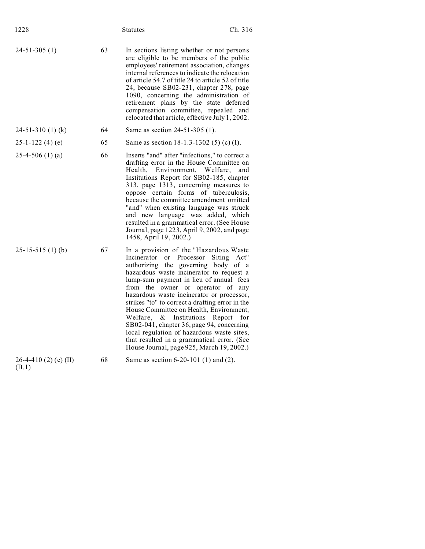| 1228                                 |    | Statutes                                                                                                                                                                                                                                                                                                                                                                                                                                                                                                                                                                                                                                    | Ch. 316          |
|--------------------------------------|----|---------------------------------------------------------------------------------------------------------------------------------------------------------------------------------------------------------------------------------------------------------------------------------------------------------------------------------------------------------------------------------------------------------------------------------------------------------------------------------------------------------------------------------------------------------------------------------------------------------------------------------------------|------------------|
| $24 - 51 - 305(1)$                   | 63 | In sections listing whether or not persons<br>are eligible to be members of the public<br>employees' retirement association, changes<br>internal references to indicate the relocation<br>of article 54.7 of title 24 to article 52 of title<br>24, because SB02-231, chapter 278, page<br>1090, concerning the administration of<br>retirement plans by the state deferred<br>compensation committee, repealed and<br>relocated that article, effective July 1, 2002.                                                                                                                                                                      |                  |
| $24 - 51 - 310$ (1) (k)              | 64 | Same as section 24-51-305 (1).                                                                                                                                                                                                                                                                                                                                                                                                                                                                                                                                                                                                              |                  |
| $25 - 1 - 122$ (4) (e)               | 65 | Same as section 18-1.3-1302 (5) (c) (I).                                                                                                                                                                                                                                                                                                                                                                                                                                                                                                                                                                                                    |                  |
| $25-4-506(1)(a)$                     | 66 | Inserts "and" after "infections," to correct a<br>drafting error in the House Committee on<br>Environment, Welfare,<br>Health,<br>Institutions Report for SB02-185, chapter<br>313, page 1313, concerning measures to<br>oppose certain forms of tuberculosis,<br>because the committee amendment omitted<br>"and" when existing language was struck<br>and new language was added, which<br>resulted in a grammatical error. (See House<br>Journal, page 1223, April 9, 2002, and page<br>1458, April 19, 2002.)                                                                                                                           | and              |
| $25 - 15 - 515(1)$ (b)               | 67 | In a provision of the "Hazardous Waste"<br>Incinerator<br>Processor<br>Siting<br><sub>or</sub><br>authorizing<br>the governing body of<br>hazardous waste incinerator to request a<br>lump-sum payment in lieu of annual fees<br>from the owner or operator of any<br>hazardous waste incinerator or processor,<br>strikes "to" to correct a drafting error in the<br>House Committee on Health, Environment,<br>Institutions Report<br>Welfare,<br>&<br>SB02-041, chapter 36, page 94, concerning<br>local regulation of hazardous waste sites,<br>that resulted in a grammatical error. (See<br>House Journal, page 925, March 19, 2002.) | Act"<br>a<br>for |
| 26-4-410 $(2)$ $(c)$ $(II)$<br>(B.1) | 68 | Same as section 6-20-101 (1) and (2).                                                                                                                                                                                                                                                                                                                                                                                                                                                                                                                                                                                                       |                  |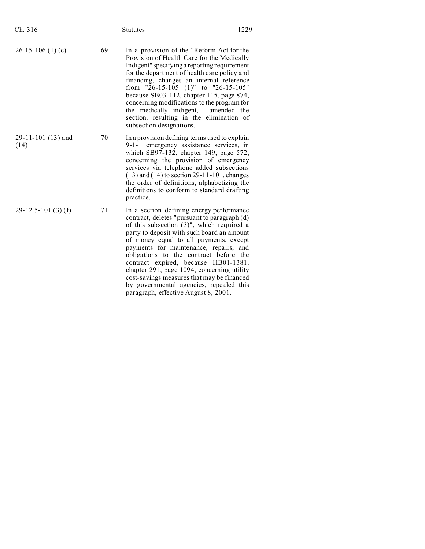| Ch. 316                    |    | <b>Statutes</b>                                                                                                                                                                                                                                                                                                                                                                                                                                                                                                                             | 1229 |
|----------------------------|----|---------------------------------------------------------------------------------------------------------------------------------------------------------------------------------------------------------------------------------------------------------------------------------------------------------------------------------------------------------------------------------------------------------------------------------------------------------------------------------------------------------------------------------------------|------|
| $26-15-106(1)(c)$          | 69 | In a provision of the "Reform Act for the<br>Provision of Health Care for the Medically<br>Indigent" specifying a reporting requirement<br>for the department of health care policy and<br>financing, changes an internal reference<br>from "26-15-105 $(1)$ " to "26-15-105"<br>because SB03-112, chapter 115, page 874,<br>concerning modifications to the program for<br>the medically indigent,<br>amended the<br>section, resulting in the elimination of<br>subsection designations.                                                  |      |
| 29-11-101 (13) and<br>(14) | 70 | In a provision defining terms used to explain<br>9-1-1 emergency assistance services, in<br>which SB97-132, chapter 149, page 572,<br>concerning the provision of emergency<br>services via telephone added subsections<br>$(13)$ and $(14)$ to section 29-11-101, changes<br>the order of definitions, alphabetizing the<br>definitions to conform to standard drafting<br>practice.                                                                                                                                                       |      |
| $29-12.5-101(3) (f)$       | 71 | In a section defining energy performance<br>contract, deletes "pursuant to paragraph (d)<br>of this subsection $(3)$ ", which required a<br>party to deposit with such board an amount<br>of money equal to all payments, except<br>payments for maintenance, repairs, and<br>obligations to the contract before the<br>contract expired, because HB01-1381,<br>chapter 291, page 1094, concerning utility<br>cost-savings measures that may be financed<br>by governmental agencies, repealed this<br>paragraph, effective August 8, 2001. |      |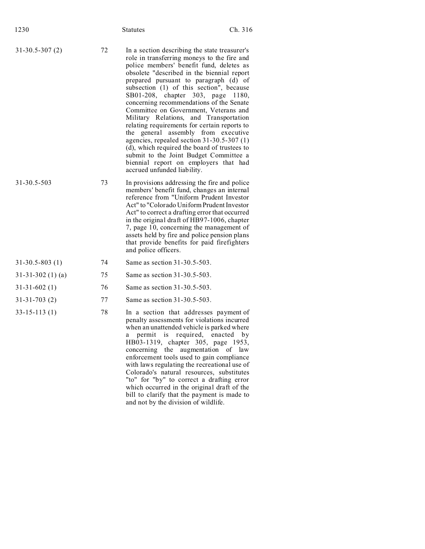| 1230                   |    | Statutes                                                                                                                                                                                                                                                                                                                                                                                                                                                                                                                                                                                                                                                                                                                                               | Ch. 316         |
|------------------------|----|--------------------------------------------------------------------------------------------------------------------------------------------------------------------------------------------------------------------------------------------------------------------------------------------------------------------------------------------------------------------------------------------------------------------------------------------------------------------------------------------------------------------------------------------------------------------------------------------------------------------------------------------------------------------------------------------------------------------------------------------------------|-----------------|
| $31 - 30.5 - 307(2)$   | 72 | In a section describing the state treasurer's<br>role in transferring moneys to the fire and<br>police members' benefit fund, deletes as<br>obsolete "described in the biennial report<br>prepared pursuant to paragraph (d) of<br>subsection (1) of this section", because<br>SB01-208, chapter 303, page 1180,<br>concerning recommendations of the Senate<br>Committee on Government, Veterans and<br>Military Relations, and Transportation<br>relating requirements for certain reports to<br>the general assembly from executive<br>agencies, repealed section 31-30.5-307 (1)<br>(d), which required the board of trustees to<br>submit to the Joint Budget Committee a<br>biennial report on employers that had<br>accrued unfunded liability. |                 |
| 31-30.5-503            | 73 | In provisions addressing the fire and police<br>members' benefit fund, changes an internal<br>reference from "Uniform Prudent Investor<br>Act" to "Colorado Uniform Prudent Investor<br>Act" to correct a drafting error that occurred<br>in the original draft of HB97-1006, chapter<br>7, page 10, concerning the management of<br>assets held by fire and police pension plans<br>that provide benefits for paid firefighters<br>and police officers.                                                                                                                                                                                                                                                                                               |                 |
| $31 - 30.5 - 803(1)$   | 74 | Same as section 31-30.5-503.                                                                                                                                                                                                                                                                                                                                                                                                                                                                                                                                                                                                                                                                                                                           |                 |
| $31 - 31 - 302(1)$ (a) | 75 | Same as section 31-30.5-503.                                                                                                                                                                                                                                                                                                                                                                                                                                                                                                                                                                                                                                                                                                                           |                 |
| $31 - 31 - 602(1)$     | 76 | Same as section 31-30.5-503.                                                                                                                                                                                                                                                                                                                                                                                                                                                                                                                                                                                                                                                                                                                           |                 |
| $31 - 31 - 703(2)$     | 77 | Same as section 31-30.5-503.                                                                                                                                                                                                                                                                                                                                                                                                                                                                                                                                                                                                                                                                                                                           |                 |
| $33 - 15 - 113(1)$     | 78 | In a section that addresses payment of<br>penalty assessments for violations incurred<br>when an unattended vehicle is parked where<br>permit<br>is required, enacted<br>a<br>HB03-1319, chapter 305, page 1953,<br>concerning the<br>augmentation                                                                                                                                                                                                                                                                                                                                                                                                                                                                                                     | by<br>of<br>law |

enforcement tools used to gain compliance with laws regulating the recreational use of Colorado's natural resources, substitutes "to" for "by" to correct a drafting error which occurred in the original draft of the bill to clarify that the payment is made to

and not by the division of wildlife.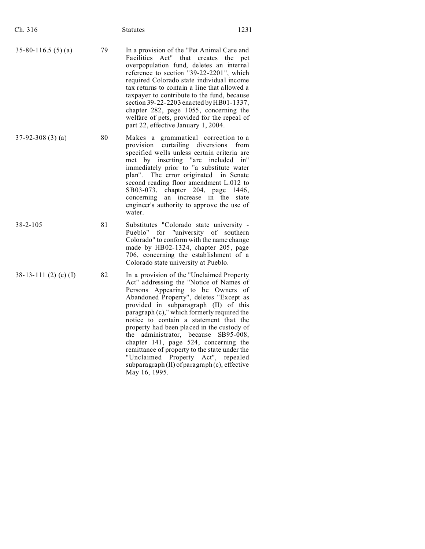| Ch. 316               |    | 1231<br>Statutes                                                                                                                                                                                                                                                                                                                                                                                                                                                                                                                                                                                |
|-----------------------|----|-------------------------------------------------------------------------------------------------------------------------------------------------------------------------------------------------------------------------------------------------------------------------------------------------------------------------------------------------------------------------------------------------------------------------------------------------------------------------------------------------------------------------------------------------------------------------------------------------|
| $35-80-116.5(5)(a)$   | 79 | In a provision of the "Pet Animal Care and<br>Facilities Act" that creates the pet<br>overpopulation fund, deletes an internal<br>reference to section "39-22-2201", which<br>required Colorado state individual income<br>tax returns to contain a line that allowed a<br>taxpayer to contribute to the fund, because<br>section 39-22-2203 enacted by HB01-1337,<br>chapter 282, page 1055, concerning the<br>welfare of pets, provided for the repeal of<br>part 22, effective January 1, 2004.                                                                                              |
| $37-92-308(3)(a)$     | 80 | Makes a grammatical correction to a<br>provision curtailing diversions<br>from<br>specified wells unless certain criteria are<br>met by inserting "are<br>included<br>in"<br>immediately prior to "a substitute water<br>plan". The error originated in Senate<br>second reading floor amendment L.012 to<br>chapter 204, page<br>SB03-073,<br>1446,<br>an increase in the<br>concerning<br>state<br>engineer's authority to approve the use of<br>water.                                                                                                                                       |
| $38 - 2 - 105$        | 81 | Substitutes "Colorado state university -<br>Pueblo" for "university of southern<br>Colorado" to conform with the name change<br>made by HB02-1324, chapter 205, page<br>706, concerning the establishment of a<br>Colorado state university at Pueblo.                                                                                                                                                                                                                                                                                                                                          |
| 38-13-111 (2) (c) (I) | 82 | In a provision of the "Unclaimed Property"<br>Act" addressing the "Notice of Names of<br>Persons Appearing to be Owners of<br>Abandoned Property", deletes "Except as<br>provided in subparagraph (II) of this<br>paragraph (c)," which formerly required the<br>notice to contain a statement that the<br>property had been placed in the custody of<br>the administrator, because SB95-008,<br>chapter 141, page 524, concerning the<br>remittance of property to the state under the<br>"Unclaimed Property Act", repealed<br>subparagraph (II) of paragraph (c), effective<br>May 16, 1995. |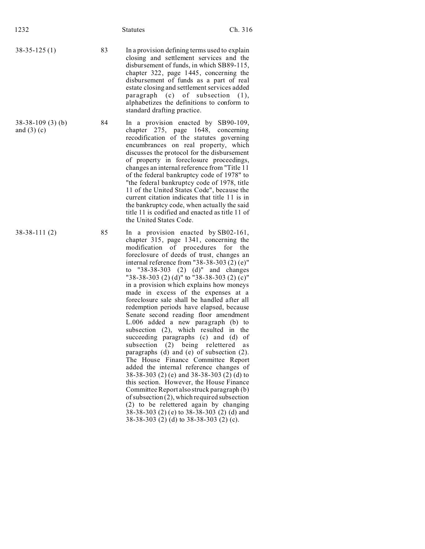- 38-35-125 (1) 83 In a provision defining terms used to explain closing and settlement services and the disbursement of funds, in which SB89-115, chapter 322, page 1445, concerning the disbursement of funds as a part of real estate closing and settlement services added paragraph (c) of subsection (1), alphabetizes the definitions to conform to standard drafting practice.
- 38-38-109 (3) (b) and  $(3)$  (c) 84 In a provision enacted by SB90-109, chapter 275, page 1648, concerning recodification of the statutes governing encumbrances on real property, which discusses the protocol for the disbursement of property in foreclosure proceedings, changes an internal reference from "Title 11 of the federal bankruptcy code of 1978" to "the federal bankruptcy code of 1978, title 11 of the United States Code", because the current citation indicates that title 11 is in the bankruptcy code, when actually the said title 11 is codified and enacted as title 11 of the United States Code.
- 38-38-111 (2) 85 In a provision enacted by SB02-161, chapter 315, page 1341, concerning the modification of procedures for the foreclosure of deeds of trust, changes an internal reference from "38-38-303 $(2)$  $(e)$ " to "38-38-303 (2) (d)" and changes "38-38-303 (2) (d)" to "38-38-303 (2) (c)" in a provision which explains how moneys made in excess of the expenses at a foreclosure sale shall be handled after all redemption periods have elapsed, because Senate second reading floor amendment L.006 added a new paragraph (b) to subsection (2), which resulted in the succeeding paragraphs (c) and (d) of subsection (2) being relettered as paragraphs (d) and (e) of subsection (2). The House Finance Committee Report added the internal reference changes of 38-38-303 (2) (e) and 38-38-303 (2) (d) to this section. However, the House Finance Committee Report also struck paragraph (b) of subsection (2), which required subsection (2) to be relettered again by changing 38-38-303 (2) (e) to 38-38-303 (2) (d) and 38-38-303 (2) (d) to 38-38-303 (2) (c).

- 
- 
-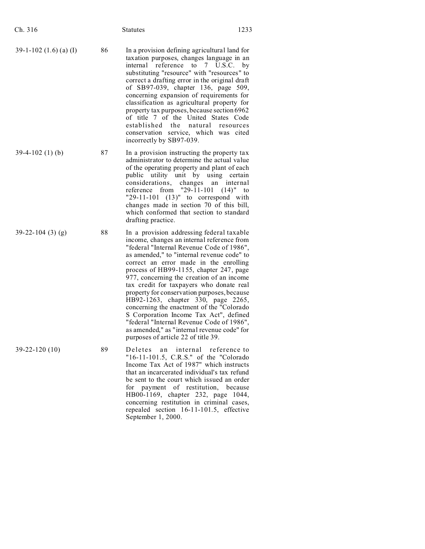| Ch. 316                  |    | <b>Statutes</b>                                                                                                                                                                                                                                                                                                                                                                                                                                                                                                                                                                                                                                                                 | 1233     |
|--------------------------|----|---------------------------------------------------------------------------------------------------------------------------------------------------------------------------------------------------------------------------------------------------------------------------------------------------------------------------------------------------------------------------------------------------------------------------------------------------------------------------------------------------------------------------------------------------------------------------------------------------------------------------------------------------------------------------------|----------|
| 39-1-102 $(1.6)$ (a) (I) | 86 | In a provision defining agricultural land for<br>taxation purposes, changes language in an<br>internal reference to 7 U.S.C. by<br>substituting "resource" with "resources" to<br>correct a drafting error in the original draft<br>of SB97-039, chapter 136, page 509,<br>concerning expansion of requirements for<br>classification as agricultural property for<br>property tax purposes, because section 6962<br>of title 7 of the United States Code<br>established<br>the<br>natural<br>resources<br>conservation service, which was cited<br>incorrectly by SB97-039.                                                                                                    |          |
| 39-4-102 $(1)$ $(b)$     | 87 | In a provision instructing the property tax<br>administrator to determine the actual value<br>of the operating property and plant of each<br>public utility unit by using certain<br>considerations,<br>changes<br>an<br>reference from "29-11-101 (14)" to<br>"29-11-101 $(13)$ " to correspond with<br>changes made in section 70 of this bill,<br>which conformed that section to standard<br>drafting practice.                                                                                                                                                                                                                                                             | internal |
| $39-22-104(3)(g)$        | 88 | In a provision addressing federal taxable<br>income, changes an internal reference from<br>"federal "Internal Revenue Code of 1986",<br>as amended," to "internal revenue code" to<br>correct an error made in the enrolling<br>process of HB99-1155, chapter 247, page<br>977, concerning the creation of an income<br>tax credit for taxpayers who donate real<br>property for conservation purposes, because<br>HB92-1263, chapter 330, page 2265,<br>concerning the enactment of the "Colorado<br>S Corporation Income Tax Act", defined<br>"federal "Internal Revenue Code of 1986",<br>as amended," as "internal revenue code" for<br>purposes of article 22 of title 39. |          |
| 39-22-120 (10)           | 89 | internal reference to<br>Deletes<br>an<br>"16-11-101.5, C.R.S." of the "Colorado<br>Income Tax Act of 1987" which instructs<br>that an incorporated individually tou notund                                                                                                                                                                                                                                                                                                                                                                                                                                                                                                     |          |

that an incarcerated individual's tax refund be sent to the court which issued an order for payment of restitution, because HB00-1169, chapter 232, page 1044, concerning restitution in criminal cases, repealed section 16-11-101.5, effective September 1, 2000.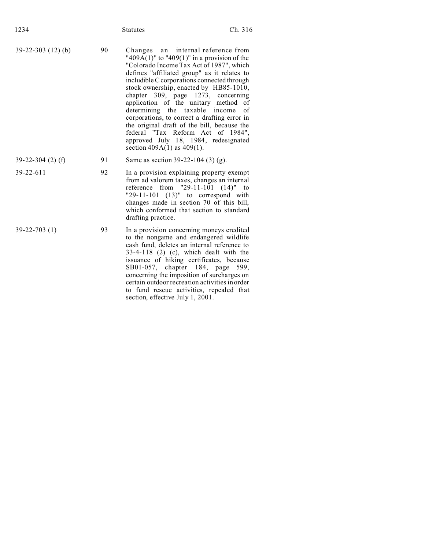| 1234                |    | <b>Statutes</b>                                                                                                                                                                                                                                                                                                                                                                                                                                                                                                                                                                                         | Ch. 316          |
|---------------------|----|---------------------------------------------------------------------------------------------------------------------------------------------------------------------------------------------------------------------------------------------------------------------------------------------------------------------------------------------------------------------------------------------------------------------------------------------------------------------------------------------------------------------------------------------------------------------------------------------------------|------------------|
| $39-22-303(12)(b)$  | 90 | an internal reference from<br>Changes<br>"409A(1)" to "409(1)" in a provision of the<br>"Colorado Income Tax Act of 1987", which<br>defines "affiliated group" as it relates to<br>includible C corporations connected through<br>stock ownership, enacted by HB85-1010,<br>chapter 309, page 1273, concerning<br>application of the unitary method<br>taxable income<br>determining the<br>corporations, to correct a drafting error in<br>the original draft of the bill, because the<br>federal "Tax Reform Act of 1984",<br>approved July 18, 1984, redesignated<br>section $409A(1)$ as $409(1)$ . | $\sigma$ f<br>of |
| $39-22-304$ (2) (f) | 91 | Same as section 39-22-104 (3) (g).                                                                                                                                                                                                                                                                                                                                                                                                                                                                                                                                                                      |                  |
| 39-22-611           | 92 | In a provision explaining property exempt<br>from ad valorem taxes, changes an internal<br>reference from $"29-11-101$ $(14)"$ to<br>"29-11-101 (13)" to correspond with<br>changes made in section 70 of this bill,<br>which conformed that section to standard<br>drafting practice.                                                                                                                                                                                                                                                                                                                  |                  |
| $39 - 22 - 703(1)$  | 93 | In a provision concerning moneys credited<br>to the nongame and endangered wildlife<br>cash fund, deletes an internal reference to<br>$33-4-118$ (2) (c), which dealt with the<br>issuance of hiking certificates, because<br>SB01-057, chapter 184, page<br>concerning the imposition of surcharges on<br>certain outdoor recreation activities in order<br>to fund rescue activities, repealed that<br>section, effective July 1, 2001.                                                                                                                                                               | 599,             |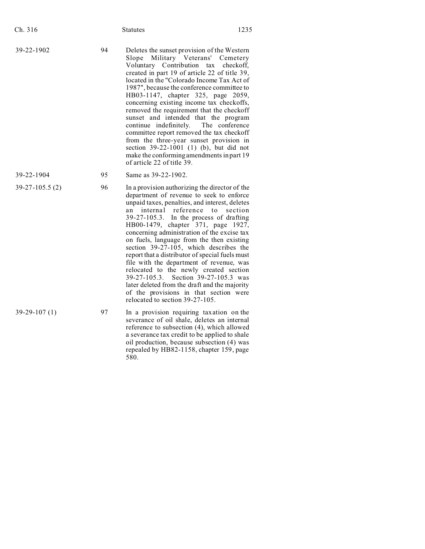| Ch. 316          |    | <b>Statutes</b>                                                                                                                                                                                                                                                                                                                                                                                                                                                                                                                                                                                                                                                                                                                                 | 1235      |
|------------------|----|-------------------------------------------------------------------------------------------------------------------------------------------------------------------------------------------------------------------------------------------------------------------------------------------------------------------------------------------------------------------------------------------------------------------------------------------------------------------------------------------------------------------------------------------------------------------------------------------------------------------------------------------------------------------------------------------------------------------------------------------------|-----------|
| 39-22-1902       | 94 | Deletes the sunset provision of the Western<br>Military Veterans'<br>Slope<br>Cemetery<br>Voluntary Contribution tax<br>created in part 19 of article 22 of title 39,<br>located in the "Colorado Income Tax Act of<br>1987", because the conference committee to<br>HB03-1147, chapter 325, page 2059,<br>concerning existing income tax checkoffs,<br>removed the requirement that the checkoff<br>sunset and intended that the program<br>The conference<br>continue indefinitely.<br>committee report removed the tax checkoff<br>from the three-year sunset provision in<br>section 39-22-1001 (1) (b), but did not<br>make the conforming amendments in part 19<br>of article 22 of title 39.                                             | checkoff. |
| 39-22-1904       | 95 | Same as 39-22-1902.                                                                                                                                                                                                                                                                                                                                                                                                                                                                                                                                                                                                                                                                                                                             |           |
| $39-27-105.5(2)$ | 96 | In a provision authorizing the director of the<br>department of revenue to seek to enforce<br>unpaid taxes, penalties, and interest, deletes<br>reference<br>internal<br>$\mathsf{to}$<br>an<br>$39 - 27 - 105.3$ .<br>In the process of drafting<br>HB00-1479, chapter 371, page 1927,<br>concerning administration of the excise tax<br>on fuels, language from the then existing<br>section 39-27-105, which describes the<br>report that a distributor of special fuels must<br>file with the department of revenue, was<br>relocated to the newly created section<br>Section 39-27-105.3 was<br>39-27-105.3.<br>later deleted from the draft and the majority<br>of the provisions in that section were<br>relocated to section 39-27-105. | section   |
| $39-29-107(1)$   | 97 | In a provision requiring taxation on the<br>severance of oil shale, deletes an internal<br>reference to subsection (4), which allowed<br>a severance tax credit to be applied to shale<br>oil production, because subsection (4) was<br>repealed by HB82-1158, chapter 159, page<br>580.                                                                                                                                                                                                                                                                                                                                                                                                                                                        |           |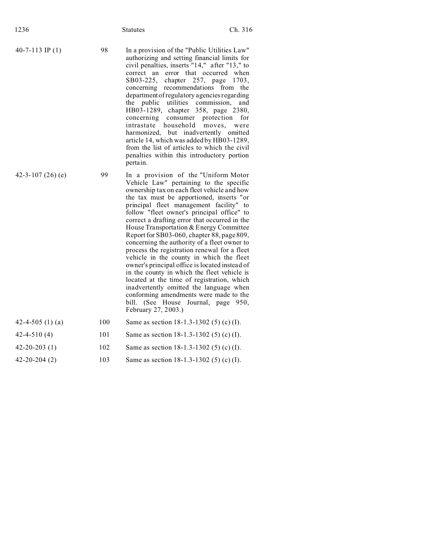| 1236                  |     | Ch. 316<br><b>Statutes</b>                                                                                                                                                                                                                                                                                                                                                                                                                                                                                                                                                                                                                                                                                                                                                                                                                                  |
|-----------------------|-----|-------------------------------------------------------------------------------------------------------------------------------------------------------------------------------------------------------------------------------------------------------------------------------------------------------------------------------------------------------------------------------------------------------------------------------------------------------------------------------------------------------------------------------------------------------------------------------------------------------------------------------------------------------------------------------------------------------------------------------------------------------------------------------------------------------------------------------------------------------------|
| 40-7-113 IP $(1)$     | 98  | In a provision of the "Public Utilities Law"<br>authorizing and setting financial limits for<br>civil penalties, inserts "14," after "13," to<br>correct an<br>error that occurred when<br>chapter 257, page<br>SB03-225,<br>1703.<br>concerning recommendations from<br>the<br>department of regulatory agencies regarding<br>the public utilities commission,<br>and<br>HB03-1289, chapter 358, page 2380,<br>concerning<br>consumer protection<br>for<br>intrastate household<br>moves,<br>were<br>but inadvertently omitted<br>harmonized,<br>article 14, which was added by HB03-1289,<br>from the list of articles to which the civil<br>penalties within this introductory portion<br>pertain.                                                                                                                                                       |
| 42-3-107 $(26)$ $(e)$ | 99  | In a provision of the "Uniform Motor<br>Vehicle Law" pertaining to the specific<br>ownership tax on each fleet vehicle and how<br>the tax must be apportioned, inserts "or<br>principal fleet management facility" to<br>follow "fleet owner's principal office" to<br>correct a drafting error that occurred in the<br>House Transportation & Energy Committee<br>Report for SB03-060, chapter 88, page 809,<br>concerning the authority of a fleet owner to<br>process the registration renewal for a fleet<br>vehicle in the county in which the fleet<br>owner's principal office is located instead of<br>in the county in which the fleet vehicle is<br>located at the time of registration, which<br>inadvertently omitted the language when<br>conforming amendments were made to the<br>bill. (See House Journal, page 950,<br>February 27, 2003.) |
| 42-4-505 $(1)$ $(a)$  | 100 | Same as section 18-1.3-1302 (5) (c) (I).                                                                                                                                                                                                                                                                                                                                                                                                                                                                                                                                                                                                                                                                                                                                                                                                                    |
| $42 - 4 - 510(4)$     | 101 | Same as section 18-1.3-1302 (5) (c) (I).                                                                                                                                                                                                                                                                                                                                                                                                                                                                                                                                                                                                                                                                                                                                                                                                                    |
| $42 - 20 - 203(1)$    | 102 | Same as section 18-1.3-1302 (5) (c) (I).                                                                                                                                                                                                                                                                                                                                                                                                                                                                                                                                                                                                                                                                                                                                                                                                                    |

42-20-204 (2) 103 Same as section 18-1.3-1302 (5) (c) (I).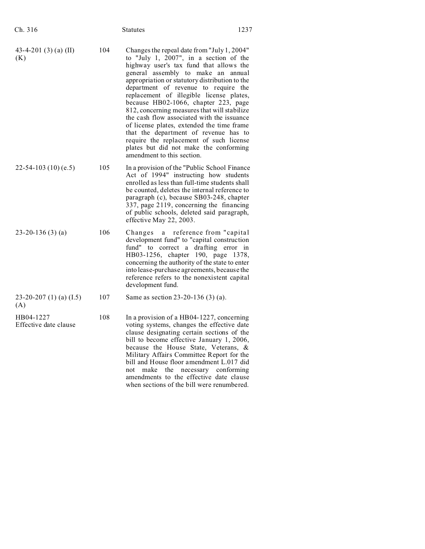| Ch. 316                            |     | 1237<br><b>Statutes</b>                                                                                                                                                                                                                                                                                                                                                                                                                                                                                                                                                                                                                                      |
|------------------------------------|-----|--------------------------------------------------------------------------------------------------------------------------------------------------------------------------------------------------------------------------------------------------------------------------------------------------------------------------------------------------------------------------------------------------------------------------------------------------------------------------------------------------------------------------------------------------------------------------------------------------------------------------------------------------------------|
| 43-4-201 $(3)$ $(a)$ $(II)$<br>(K) | 104 | Changes the repeal date from "July 1, 2004"<br>to "July 1, 2007", in a section of the<br>highway user's tax fund that allows the<br>general assembly to make an annual<br>appropriation or statutory distribution to the<br>department of revenue to require the<br>replacement of illegible license plates,<br>because HB02-1066, chapter 223, page<br>812, concerning measures that will stabilize<br>the cash flow associated with the issuance<br>of license plates, extended the time frame<br>that the department of revenue has to<br>require the replacement of such license<br>plates but did not make the conforming<br>amendment to this section. |
| $22-54-103(10)(e.5)$               | 105 | In a provision of the "Public School Finance<br>Act of 1994" instructing how students<br>enrolled as less than full-time students shall<br>be counted, deletes the internal reference to<br>paragraph (c), because SB03-248, chapter<br>337, page 2119, concerning the financing<br>of public schools, deleted said paragraph,<br>effective May 22, 2003.                                                                                                                                                                                                                                                                                                    |
| $23 - 20 - 136(3)(a)$              | 106 | reference from "capital<br>Changes<br>a<br>development fund" to "capital construction<br>fund" to correct a drafting error<br>in<br>HB03-1256, chapter 190, page<br>1378,<br>concerning the authority of the state to enter<br>into lease-purchase agreements, because the<br>reference refers to the nonexistent capital<br>development fund.                                                                                                                                                                                                                                                                                                               |
| 23-20-207 (1) (a) $(I.5)$<br>(A)   | 107 | Same as section 23-20-136 (3) (a).                                                                                                                                                                                                                                                                                                                                                                                                                                                                                                                                                                                                                           |
| HB04-1227<br>Effective date clause | 108 | In a provision of a HB04-1227, concerning<br>voting systems, changes the effective date<br>clause designating certain sections of the<br>bill to become effective January 1, 2006,<br>because the House State, Veterans, &<br>Military Affairs Committee Report for the<br>bill and House floor amendment L.017 did<br>make<br>the necessary conforming<br>not<br>amendments to the effective date clause<br>when sections of the bill were renumbered.                                                                                                                                                                                                      |